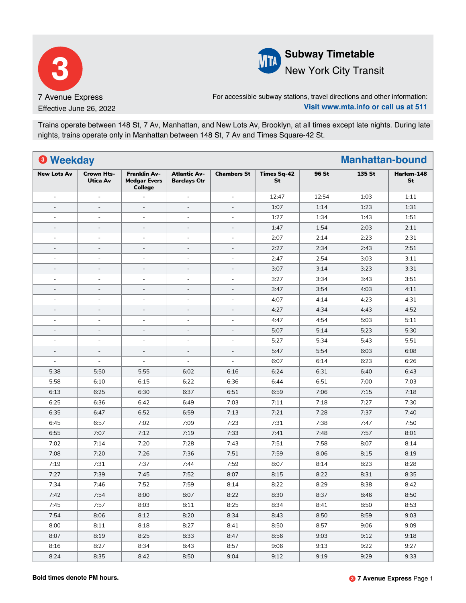



## **Subway Timetable** New York City Transit

For accessible subway stations, travel directions and other information: **Visit www.mta.info or call us at 511**

Trains operate between 148 St, 7 Av, Manhattan, and New Lots Av, Brooklyn, at all times except late nights. During late nights, trains operate only in Manhattan between 148 St, 7 Av and Times Square-42 St.

| <sup>O</sup> Weekday     |                          |                                                       |                                            |                          |                          |       | <b>Manhattan-bound</b> |                  |
|--------------------------|--------------------------|-------------------------------------------------------|--------------------------------------------|--------------------------|--------------------------|-------|------------------------|------------------|
| <b>New Lots Av</b>       | Crown Hts-<br>Utica Av   | <b>Franklin Av-</b><br><b>Medgar Evers</b><br>College | <b>Atlantic Av-</b><br><b>Barclays Ctr</b> | <b>Chambers St</b>       | <b>Times Sq-42</b><br>St | 96 St | 135 St                 | Harlem-148<br>St |
| $\sim$                   | $\overline{\phantom{a}}$ |                                                       | $\blacksquare$                             | $\blacksquare$           | 12:47                    | 12:54 | 1:03                   | 1:11             |
| $\overline{\phantom{a}}$ | $\overline{\phantom{a}}$ | $\overline{a}$                                        | ÷,                                         | $\overline{\phantom{a}}$ | 1:07                     | 1:14  | 1:23                   | 1:31             |
| $\blacksquare$           | $\sim$                   | L.                                                    | $\sim$                                     | $\overline{\phantom{a}}$ | 1:27                     | 1:34  | 1:43                   | 1:51             |
| $\overline{\phantom{a}}$ | $\overline{\phantom{a}}$ | $\overline{\phantom{a}}$                              | $\sim$                                     | $\overline{\phantom{a}}$ | 1:47                     | 1:54  | 2:03                   | 2:11             |
| $\sim$                   | $\overline{\phantom{a}}$ | $\blacksquare$                                        | $\blacksquare$                             | $\blacksquare$           | 2:07                     | 2:14  | 2:23                   | 2:31             |
| $\overline{\phantom{a}}$ | $\overline{\phantom{a}}$ | $\overline{a}$                                        | $\overline{\phantom{a}}$                   | $\overline{\phantom{a}}$ | 2:27                     | 2:34  | 2:43                   | 2:51             |
| $\overline{\phantom{a}}$ | $\sim$                   | L,                                                    | $\sim$                                     | $\overline{\phantom{a}}$ | 2:47                     | 2:54  | 3:03                   | 3:11             |
| $\overline{\phantom{a}}$ | $\overline{\phantom{a}}$ | $\overline{a}$                                        | $\overline{\phantom{a}}$                   | $\overline{\phantom{a}}$ | 3:07                     | 3:14  | 3:23                   | 3:31             |
| $\blacksquare$           | $\overline{\phantom{a}}$ | $\overline{\phantom{a}}$                              | $\overline{\phantom{a}}$                   | $\blacksquare$           | 3:27                     | 3:34  | 3:43                   | 3:51             |
| $\overline{\phantom{a}}$ | $\overline{\phantom{a}}$ | $\overline{a}$                                        | $\blacksquare$                             | $\bar{a}$                | 3:47                     | 3:54  | 4:03                   | 4:11             |
| $\blacksquare$           | $\sim$                   | L,                                                    | $\sim$                                     | $\overline{\phantom{a}}$ | 4:07                     | 4:14  | 4:23                   | 4:31             |
| $\overline{\phantom{a}}$ | $\overline{\phantom{a}}$ | $\overline{\phantom{a}}$                              | $\overline{\phantom{a}}$                   | $\overline{\phantom{a}}$ | 4:27                     | 4:34  | 4:43                   | 4:52             |
| $\overline{\phantom{a}}$ | $\overline{\phantom{a}}$ | $\blacksquare$                                        | $\blacksquare$                             | ÷,                       | 4:47                     | 4:54  | 5:03                   | 5:11             |
| $\overline{\phantom{a}}$ | $\sim$                   | $\overline{a}$                                        | $\overline{\phantom{a}}$                   | $\overline{\phantom{a}}$ | 5:07                     | 5:14  | 5:23                   | 5:30             |
| $\blacksquare$           | $\sim$                   | $\overline{\phantom{a}}$                              | $\sim$                                     | $\overline{\phantom{a}}$ | 5:27                     | 5:34  | 5:43                   | 5:51             |
| $\overline{\phantom{a}}$ | $\sim$                   | $\overline{a}$                                        | $\sim$                                     | $\overline{\phantom{a}}$ | 5:47                     | 5:54  | 6:03                   | 6:08             |
| $\sim$                   | $\sim$                   | $\blacksquare$                                        | $\blacksquare$                             | $\blacksquare$           | 6:07                     | 6:14  | 6:23                   | 6:26             |
| 5:38                     | 5:50                     | 5:55                                                  | 6:02                                       | 6:16                     | 6:24                     | 6:31  | 6:40                   | 6:43             |
| 5:58                     | 6:10                     | 6:15                                                  | 6:22                                       | 6:36                     | 6:44                     | 6:51  | 7:00                   | 7:03             |
| 6:13                     | 6:25                     | 6:30                                                  | 6:37                                       | 6:51                     | 6:59                     | 7:06  | 7:15                   | 7:18             |
| 6:25                     | 6:36                     | 6:42                                                  | 6:49                                       | 7:03                     | 7:11                     | 7:18  | 7:27                   | 7:30             |
| 6:35                     | 6:47                     | 6:52                                                  | 6:59                                       | 7:13                     | 7:21                     | 7:28  | 7:37                   | 7:40             |
| 6:45                     | 6:57                     | 7:02                                                  | 7:09                                       | 7:23                     | 7:31                     | 7:38  | 7:47                   | 7:50             |
| 6:55                     | 7:07                     | 7:12                                                  | 7:19                                       | 7:33                     | 7:41                     | 7:48  | 7:57                   | 8:01             |
| 7:02                     | 7:14                     | 7:20                                                  | 7:28                                       | 7:43                     | 7:51                     | 7:58  | 8:07                   | 8:14             |
| 7:08                     | 7:20                     | 7:26                                                  | 7:36                                       | 7:51                     | 7:59                     | 8:06  | 8:15                   | 8:19             |
| 7:19                     | 7:31                     | 7:37                                                  | 7:44                                       | 7:59                     | 8:07                     | 8:14  | 8:23                   | 8:28             |
| 7:27                     | 7:39                     | 7:45                                                  | 7:52                                       | 8:07                     | 8:15                     | 8:22  | 8:31                   | 8:35             |
| 7:34                     | 7:46                     | 7:52                                                  | 7:59                                       | 8:14                     | 8:22                     | 8:29  | 8:38                   | 8:42             |
| 7:42                     | 7:54                     | 8:00                                                  | 8:07                                       | 8:22                     | 8:30                     | 8:37  | 8:46                   | 8:50             |
| 7:45                     | 7:57                     | 8:03                                                  | 8:11                                       | 8:25                     | 8:34                     | 8:41  | 8:50                   | 8:53             |
| 7:54                     | 8:06                     | 8:12                                                  | 8:20                                       | 8:34                     | 8:43                     | 8:50  | 8:59                   | 9:03             |
| 8:00                     | 8:11                     | 8:18                                                  | 8:27                                       | 8:41                     | 8:50                     | 8:57  | 9:06                   | 9:09             |
| 8:07                     | 8:19                     | 8:25                                                  | 8:33                                       | 8:47                     | 8:56                     | 9:03  | 9:12                   | 9:18             |
| 8:16                     | 8:27                     | 8:34                                                  | 8:43                                       | 8:57                     | 9:06                     | 9:13  | 9:22                   | 9:27             |
| 8:24                     | 8:35                     | 8:42                                                  | 8:50                                       | 9:04                     | 9:12                     | 9:19  | 9:29                   | 9:33             |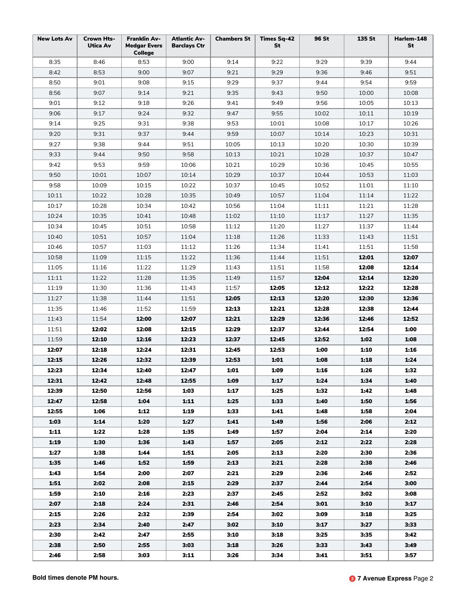| <b>New Lots Av</b> | Crown Hts-<br>Utica Av | <b>Franklin Av-</b><br><b>Medgar Evers</b><br><b>College</b> | <b>Atlantic Av-</b><br><b>Barclays Ctr</b> | <b>Chambers St</b> | Times Sq-42<br>St | 96 St | 135 St | Harlem-148<br>St |
|--------------------|------------------------|--------------------------------------------------------------|--------------------------------------------|--------------------|-------------------|-------|--------|------------------|
| 8:35               | 8:46                   | 8:53                                                         | 9:00                                       | 9:14               | 9:22              | 9:29  | 9:39   | 9:44             |
| 8:42               | 8:53                   | 9:00                                                         | 9:07                                       | 9:21               | 9:29              | 9:36  | 9:46   | 9:51             |
| 8:50               | 9:01                   | 9:08                                                         | 9:15                                       | 9:29               | 9:37              | 9:44  | 9:54   | 9:59             |
| 8:56               | 9:07                   | 9:14                                                         | 9:21                                       | 9:35               | 9:43              | 9:50  | 10:00  | 10:08            |
| 9:01               | 9:12                   | 9:18                                                         | 9:26                                       | 9:41               | 9:49              | 9:56  | 10:05  | 10:13            |
| 9:06               | 9:17                   | 9:24                                                         | 9:32                                       | 9:47               | 9:55              | 10:02 | 10:11  | 10:19            |
| 9:14               | 9:25                   | 9:31                                                         | 9:38                                       | 9:53               | 10:01             | 10:08 | 10:17  | 10:26            |
| 9:20               | 9:31                   | 9:37                                                         | 9:44                                       | 9:59               | 10:07             | 10:14 | 10:23  | 10:31            |
| 9:27               | 9:38                   | 9:44                                                         | 9:51                                       | 10:05              | 10:13             | 10:20 | 10:30  | 10:39            |
| 9:33               | 9:44                   | 9:50                                                         | 9:58                                       | 10:13              | 10:21             | 10:28 | 10:37  | 10:47            |
| 9:42               | 9:53                   | 9:59                                                         | 10:06                                      | 10:21              | 10:29             | 10:36 | 10:45  | 10:55            |
| 9:50               | 10:01                  | 10:07                                                        | 10:14                                      | 10:29              | 10:37             | 10:44 | 10:53  | 11:03            |
| 9:58               | 10:09                  | 10:15                                                        | 10:22                                      | 10:37              | 10:45             | 10:52 | 11:01  | 11:10            |
| 10:11              | 10:22                  | 10:28                                                        | 10:35                                      | 10:49              | 10:57             | 11:04 | 11:14  | 11:22            |
| 10:17              | 10:28                  | 10:34                                                        | 10:42                                      | 10:56              | 11:04             | 11:11 | 11:21  | 11:28            |
| 10:24              | 10:35                  | 10:41                                                        | 10:48                                      | 11:02              | 11:10             | 11:17 | 11:27  | 11:35            |
| 10:34              | 10:45                  | 10:51                                                        | 10:58                                      | 11:12              | 11:20             | 11:27 | 11:37  | 11:44            |
| 10:40              | 10:51                  | 10:57                                                        | 11:04                                      | 11:18              | 11:26             | 11:33 | 11:43  | 11:51            |
| 10:46              | 10:57                  | 11:03                                                        | 11:12                                      | 11:26              | 11:34             | 11:41 | 11:51  | 11:58            |
| 10:58              | 11:09                  | 11:15                                                        | 11:22                                      | 11:36              | 11:44             | 11:51 | 12:01  | 12:07            |
| 11:05              |                        | 11:22                                                        | 11:29                                      | 11:43              | 11:51             | 11:58 | 12:08  | 12:14            |
|                    | 11:16                  |                                                              |                                            |                    |                   |       |        |                  |
| 11:11              | 11:22                  | 11:28                                                        | 11:35                                      | 11:49              | 11:57             | 12:04 | 12:14  | 12:20            |
| 11:19              | 11:30                  | 11:36                                                        | 11:43                                      | 11:57              | 12:05             | 12:12 | 12:22  | 12:28            |
| 11:27              | 11:38                  | 11:44                                                        | 11:51                                      | 12:05              | 12:13             | 12:20 | 12:30  | 12:36            |
| 11:35              | 11:46                  | 11:52                                                        | 11:59                                      | 12:13              | 12:21             | 12:28 | 12:38  | 12:44            |
| 11:43              | 11:54                  | 12:00                                                        | 12:07                                      | 12:21              | 12:29             | 12:36 | 12:46  | 12:52            |
| 11:51              | 12:02                  | 12:08                                                        | 12:15                                      | 12:29              | 12:37             | 12:44 | 12:54  | 1:00             |
| 11:59              | 12:10                  | 12:16                                                        | 12:23                                      | 12:37              | 12:45             | 12:52 | 1:02   | 1:08             |
| 12:07              | 12:18                  | 12:24                                                        | 12:31                                      | 12:45              | 12:53             | 1:00  | 1:10   | 1:16             |
| 12:15              | 12:26                  | 12:32                                                        | 12:39                                      | 12:53              | 1:01              | 1:08  | 1:18   | 1:24             |
| 12:23              | 12:34                  | 12:40                                                        | 12:47                                      | 1:01               | 1:09              | 1:16  | 1:26   | 1:32             |
| 12:31              | 12:42                  | 12:48                                                        | 12:55                                      | 1:09               | 1:17              | 1:24  | 1:34   | 1:40             |
| 12:39              | 12:50                  | 12:56                                                        | 1:03                                       | 1:17               | 1:25              | 1:32  | 1:42   | 1:48             |
| 12:47              | 12:58                  | 1:04                                                         | 1:11                                       | 1:25               | 1:33              | 1:40  | 1:50   | 1:56             |
| 12:55              | 1:06                   | 1:12                                                         | 1:19                                       | 1:33               | 1:41              | 1:48  | 1:58   | 2:04             |
| 1:03               | 1:14                   | 1:20                                                         | 1:27                                       | 1:41               | 1:49              | 1:56  | 2:06   | 2:12             |
| 1:11               | 1:22                   | 1:28                                                         | 1:35                                       | 1:49               | 1:57              | 2:04  | 2:14   | 2:20             |
| 1:19               | 1:30                   | 1:36                                                         | 1:43                                       | 1:57               | 2:05              | 2:12  | 2:22   | 2:28             |
| 1:27               | 1:38                   | 1:44                                                         | 1:51                                       | 2:05               | 2:13              | 2:20  | 2:30   | 2:36             |
| 1:35               | 1:46                   | 1:52                                                         | 1:59                                       | 2:13               | 2:21              | 2:28  | 2:38   | 2:46             |
| 1:43               | 1:54                   | 2:00                                                         | 2:07                                       | 2:21               | 2:29              | 2:36  | 2:46   | 2:52             |
| 1:51               | 2:02                   | 2:08                                                         | 2:15                                       | 2:29               | 2:37              | 2:44  | 2:54   | 3:00             |
| 1:59               | 2:10                   | 2:16                                                         | 2:23                                       | 2:37               | 2:45              | 2:52  | 3:02   | 3:08             |
| 2:07               | 2:18                   | 2:24                                                         | 2:31                                       | 2:46               | 2:54              | 3:01  | 3:10   | 3:17             |
| 2:15               | 2:26                   | 2:32                                                         | 2:39                                       | 2:54               | 3:02              | 3:09  | 3:18   | 3:25             |
| 2:23               | 2:34                   | 2:40                                                         | 2:47                                       | 3:02               | 3:10              | 3:17  | 3:27   | 3:33             |
| 2:30               | 2:42                   | 2:47                                                         | 2:55                                       | 3:10               | 3:18              | 3:25  | 3:35   | 3:42             |
| 2:38               | 2:50                   | 2:55                                                         | 3:03                                       | 3:18               | 3:26              | 3:33  | 3:43   | 3:49             |
| 2:46               | 2:58                   | 3:03                                                         | 3:11                                       | 3:26               | 3:34              | 3:41  | 3:51   | 3:57             |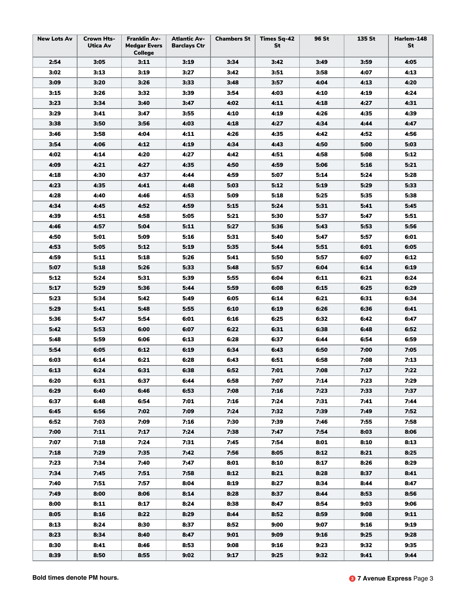| <b>New Lots Av</b> | <b>Crown Hts-</b><br>Utica Av | <b>Franklin Av-</b><br><b>Medgar Evers</b><br><b>College</b> | <b>Atlantic Av-</b><br><b>Barclays Ctr</b> | <b>Chambers St</b> | Times Sq-42<br>St | <b>96 St</b> | 135 St | Harlem-148<br>St |
|--------------------|-------------------------------|--------------------------------------------------------------|--------------------------------------------|--------------------|-------------------|--------------|--------|------------------|
| 2:54               | 3:05                          | 3:11                                                         | 3:19                                       | 3:34               | 3:42              | 3:49         | 3:59   | 4:05             |
| 3:02               | 3:13                          | 3:19                                                         | 3:27                                       | 3:42               | 3:51              | 3:58         | 4:07   | 4:13             |
| 3:09               | 3:20                          | 3:26                                                         | 3:33                                       | 3:48               | 3:57              | 4:04         | 4:13   | 4:20             |
| 3:15               | 3:26                          | 3:32                                                         | 3:39                                       | 3:54               | 4:03              | 4:10         | 4:19   | 4:24             |
| 3:23               | 3:34                          | 3:40                                                         | 3:47                                       | 4:02               | 4:11              | 4:18         | 4:27   | 4:31             |
| 3:29               | 3:41                          | 3:47                                                         | 3:55                                       | 4:10               | 4:19              | 4:26         | 4:35   | 4:39             |
| 3:38               | 3:50                          | 3:56                                                         | 4:03                                       | 4:18               | 4:27              | 4:34         | 4:44   | 4:47             |
| 3:46               | 3:58                          | 4:04                                                         | 4:11                                       | 4:26               | 4:35              | 4:42         | 4:52   | 4:56             |
| 3:54               | 4:06                          | 4:12                                                         | 4:19                                       | 4:34               | 4:43              | 4:50         | 5:00   | 5:03             |
| 4:02               | 4:14                          | 4:20                                                         | 4:27                                       | 4:42               | 4:51              | 4:58         | 5:08   | 5:12             |
| 4:09               | 4:21                          | 4:27                                                         | 4:35                                       | 4:50               | 4:59              | 5:06         | 5:16   | 5:21             |
| 4:18               | 4:30                          | 4:37                                                         | 4:44                                       | 4:59               | 5:07              | 5:14         | 5:24   | 5:28             |
| 4:23               | 4:35                          | 4:41                                                         | 4:48                                       | 5:03               | 5:12              | 5:19         | 5:29   | 5:33             |
| 4:28               | 4:40                          | 4:46                                                         | 4:53                                       | 5:09               | 5:18              | 5:25         | 5:35   | 5:38             |
| 4:34               | 4:45                          | 4:52                                                         | 4:59                                       | 5:15               | 5:24              | 5:31         | 5:41   | 5:45             |
| 4:39               | 4:51                          | 4:58                                                         | 5:05                                       | 5:21               | 5:30              | 5:37         | 5:47   | 5:51             |
| 4:46               | 4:57                          | 5:04                                                         | 5:11                                       | 5:27               | 5:36              | 5:43         | 5:53   | 5:56             |
| 4:50               | 5:01                          | 5:09                                                         | 5:16                                       | 5:31               | 5:40              | 5:47         | 5:57   | 6:01             |
| 4:53               | 5:05                          | 5:12                                                         | 5:19                                       | 5:35               | 5:44              | 5:51         | 6:01   | 6:05             |
| 4:59               | 5:11                          | 5:18                                                         | 5:26                                       | 5:41               | 5:50              | 5:57         | 6:07   | 6:12             |
| 5:07               | 5:18                          | 5:26                                                         | 5:33                                       | 5:48               | 5:57              | 6:04         | 6:14   | 6:19             |
| 5:12               | 5:24                          | 5:31                                                         | 5:39                                       | 5:55               | 6:04              | 6:11         | 6:21   | 6:24             |
| 5:17               | 5:29                          | 5:36                                                         | 5:44                                       | 5:59               | 6:08              | 6:15         | 6:25   | 6:29             |
| 5:23               | 5:34                          | 5:42                                                         | 5:49                                       | 6:05               | 6:14              | 6:21         | 6:31   | 6:34             |
| 5:29               | 5:41                          | 5:48                                                         | 5:55                                       | 6:10               | 6:19              | 6:26         | 6:36   | 6:41             |
| 5:36               | 5:47                          | 5:54                                                         | 6:01                                       | 6:16               | 6:25              | 6:32         | 6:42   | 6:47             |
| 5:42               | 5:53                          | 6:00                                                         | 6:07                                       | 6:22               | 6:31              | 6:38         | 6:48   | 6:52             |
| 5:48               | 5:59                          | 6:06                                                         | 6:13                                       | 6:28               | 6:37              | 6:44         | 6:54   | 6:59             |
| 5:54               | 6:05                          | 6:12                                                         | 6:19                                       | 6:34               | 6:43              | 6:50         | 7:00   | 7:05             |
| 6:03               | 6:14                          | 6:21                                                         | 6:28                                       | 6:43               | 6:51              | 6:58         | 7:08   | 7:13             |
| 6:13               | 6:24                          | 6:31                                                         | 6:38                                       | 6:52               | 7:01              | 7:08         | 7:17   | 7:22             |
| 6:20               | 6:31                          | 6:37                                                         | 6:44                                       | 6:58               | 7:07              | 7:14         | 7:23   | 7:29             |
| 6:29               | 6:40                          | 6:46                                                         | 6:53                                       | 7:08               | 7:16              | 7:23         | 7:33   | 7:37             |
| 6:37               | 6:48                          | 6:54                                                         | 7:01                                       | 7:16               | 7:24              | 7:31         | 7:41   | 7:44             |
| 6:45               | 6:56                          | 7:02                                                         | 7:09                                       | 7:24               | 7:32              | 7:39         | 7:49   | 7:52             |
| 6:52               | 7:03                          | 7:09                                                         | 7:16                                       | 7:30               | 7:39              | 7:46         | 7:55   | 7:58             |
| 7:00               | 7:11                          | 7:17                                                         | 7:24                                       | 7:38               | 7:47              | 7:54         | 8:03   | 8:06             |
| 7:07               | 7:18                          | 7:24                                                         | 7:31                                       | 7:45               | 7:54              | 8:01         | 8:10   | 8:13             |
| 7:18               | 7:29                          | 7:35                                                         | 7:42                                       | 7:56               | 8:05              | 8:12         | 8:21   | 8:25             |
| 7:23               | 7:34                          | 7:40                                                         | 7:47                                       | 8:01               | 8:10              | 8:17         | 8:26   | 8:29             |
| 7:34               | 7:45                          | 7:51                                                         | 7:58                                       | 8:12               | 8:21              | 8:28         | 8:37   | 8:41             |
| 7:40               | 7:51                          | 7:57                                                         | 8:04                                       | 8:19               | 8:27              | 8:34         | 8:44   | 8:47             |
| 7:49               | 8:00                          | 8:06                                                         | 8:14                                       | 8:28               | 8:37              | 8:44         | 8:53   | 8:56             |
| 8:00               | 8:11                          | 8:17                                                         | 8:24                                       | 8:38               | 8:47              | 8:54         | 9:03   | 9:06             |
| 8:05               | 8:16                          | 8:22                                                         | 8:29                                       | 8:44               | 8:52              | 8:59         | 9:08   | 9:11             |
| 8:13               | 8:24                          | 8:30                                                         | 8:37                                       | 8:52               | 9:00              | 9:07         | 9:16   | 9:19             |
| 8:23               | 8:34                          | 8:40                                                         | 8:47                                       | 9:01               | 9:09              | 9:16         | 9:25   | 9:28             |
| 8:30               | 8:41                          | 8:46                                                         | 8:53                                       | 9:08               | 9:16              | 9:23         | 9:32   | 9:35             |
| 8:39               | 8:50                          | 8:55                                                         | 9:02                                       | 9:17               | 9:25              | 9:32         | 9:41   | 9:44             |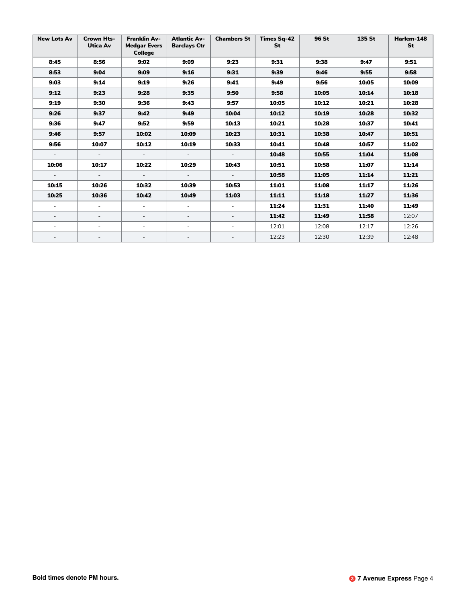| <b>New Lots Av</b>       | <b>Crown Hts-</b><br>Utica Av | <b>Franklin Av-</b><br><b>Medgar Evers</b><br><b>College</b> | <b>Atlantic Av-</b><br><b>Barclays Ctr</b> | <b>Chambers St</b>       | <b>Times Sa-42</b><br>St | 96 St | 135 St | Harlem-148<br>St |
|--------------------------|-------------------------------|--------------------------------------------------------------|--------------------------------------------|--------------------------|--------------------------|-------|--------|------------------|
| 8:45                     | 8:56                          | 9:02                                                         | 9:09                                       | 9:23                     | 9:31                     | 9:38  | 9:47   | 9:51             |
| 8:53                     | 9:04                          | 9:09                                                         | 9:16                                       | 9:31                     | 9:39                     | 9:46  | 9:55   | 9:58             |
| 9:03                     | 9:14                          | 9:19                                                         | 9:26                                       | 9:41                     | 9:49                     | 9:56  | 10:05  | 10:09            |
| 9:12                     | 9:23                          | 9:28                                                         | 9:35                                       | 9:50                     | 9:58                     | 10:05 | 10:14  | 10:18            |
| 9:19                     | 9:30                          | 9:36                                                         | 9:43                                       | 9:57                     | 10:05                    | 10:12 | 10:21  | 10:28            |
| 9:26                     | 9:37                          | 9:42                                                         | 9:49                                       | 10:04                    | 10:12                    | 10:19 | 10:28  | 10:32            |
| 9:36                     | 9:47                          | 9:52                                                         | 9:59                                       | 10:13                    | 10:21                    | 10:28 | 10:37  | 10:41            |
| 9:46                     | 9:57                          | 10:02                                                        | 10:09                                      | 10:23                    | 10:31                    | 10:38 | 10:47  | 10:51            |
| 9:56                     | 10:07                         | 10:12                                                        | 10:19                                      | 10:33                    | 10:41                    | 10:48 | 10:57  | 11:02            |
| $\sim$                   | $\overline{\phantom{a}}$      | $\sim$                                                       | $\overline{\phantom{a}}$                   | $\overline{\phantom{a}}$ | 10:48                    | 10:55 | 11:04  | 11:08            |
| 10:06                    | 10:17                         | 10:22                                                        | 10:29                                      | 10:43                    | 10:51                    | 10:58 | 11:07  | 11:14            |
| $\overline{\phantom{a}}$ | $\overline{\phantom{a}}$      | $\overline{\phantom{a}}$                                     | $\overline{\phantom{a}}$                   | $\equiv$                 | 10:58                    | 11:05 | 11:14  | 11:21            |
| 10:15                    | 10:26                         | 10:32                                                        | 10:39                                      | 10:53                    | 11:01                    | 11:08 | 11:17  | 11:26            |
| 10:25                    | 10:36                         | 10:42                                                        | 10:49                                      | 11:03                    | 11:11                    | 11:18 | 11:27  | 11:36            |
| $\sim$                   | $\blacksquare$                | $\sim$                                                       | $\blacksquare$                             | $\equiv$                 | 11:24                    | 11:31 | 11:40  | 11:49            |
| $\overline{\phantom{a}}$ | $\overline{\phantom{a}}$      | $\overline{\phantom{a}}$                                     | $\overline{\phantom{a}}$                   | $\overline{\phantom{a}}$ | 11:42                    | 11:49 | 11:58  | 12:07            |
| $\sim$                   | $\sim$                        | $\sim$                                                       | $\overline{\phantom{a}}$                   | $\overline{\phantom{a}}$ | 12:01                    | 12:08 | 12:17  | 12:26            |
|                          | $\overline{\phantom{a}}$      |                                                              | $\overline{\phantom{a}}$                   |                          | 12:23                    | 12:30 | 12:39  | 12:48            |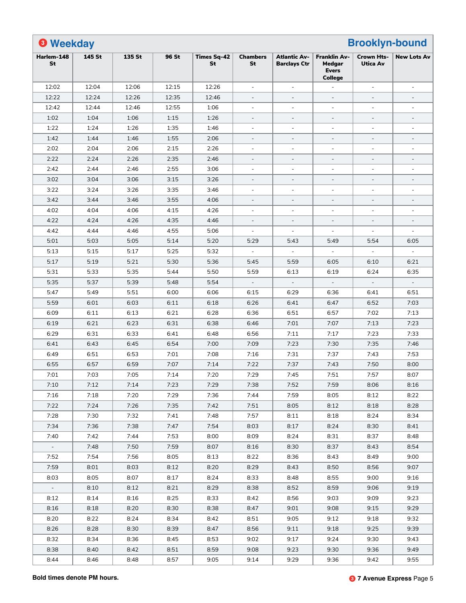| <b>8 Weekday</b> |        | 135 St |       |                          | <b>Chambers</b>          |                                            | <b>Franklin Av-</b>                      | <b>Brooklyn-bound</b>                | <b>New Lots Av</b>       |
|------------------|--------|--------|-------|--------------------------|--------------------------|--------------------------------------------|------------------------------------------|--------------------------------------|--------------------------|
| Harlem-148<br>St | 145 St |        | 96 St | <b>Times Sq-42</b><br>St | St                       | <b>Atlantic Av-</b><br><b>Barclays Ctr</b> | Medgar<br><b>Evers</b><br><b>College</b> | <b>Crown Hts-</b><br><b>Utica Av</b> |                          |
| 12:02            | 12:04  | 12:06  | 12:15 | 12:26                    | $\blacksquare$           | $\sim$                                     |                                          | $\blacksquare$                       | $\blacksquare$           |
| 12:22            | 12:24  | 12:26  | 12:35 | 12:46                    | $\overline{a}$           | $\overline{\phantom{a}}$                   | $\overline{\phantom{a}}$                 | $\overline{\phantom{a}}$             | $\overline{\phantom{a}}$ |
| 12:42            | 12:44  | 12:46  | 12:55 | 1:06                     | ÷,                       | $\blacksquare$                             | $\overline{a}$                           | $\overline{a}$                       | $\blacksquare$           |
| 1:02             | 1:04   | 1:06   | 1:15  | 1:26                     |                          | $\overline{\phantom{a}}$                   | $\blacksquare$                           | $\overline{\phantom{a}}$             | $\blacksquare$           |
| 1:22             | 1:24   | 1:26   | 1:35  | 1:46                     | $\blacksquare$           | $\overline{\phantom{a}}$                   | $\blacksquare$                           | $\blacksquare$                       | $\overline{\phantom{a}}$ |
| 1:42             | 1:44   | 1:46   | 1:55  | 2:06                     | $\overline{a}$           | $\overline{\phantom{a}}$                   | $\overline{\phantom{a}}$                 | $\blacksquare$                       | $\overline{\phantom{a}}$ |
| 2:02             | 2:04   | 2:06   | 2:15  | 2:26                     | ÷,                       | $\blacksquare$                             | $\blacksquare$                           | $\blacksquare$                       | $\sim$                   |
| 2:22             | 2:24   | 2:26   | 2:35  | 2:46                     |                          | ÷,                                         | $\overline{\phantom{a}}$                 | $\overline{\phantom{a}}$             | $\overline{\phantom{a}}$ |
| 2:42             | 2:44   | 2:46   | 2:55  | 3:06                     | $\blacksquare$           | $\sim$                                     | $\blacksquare$                           | $\blacksquare$                       | $\sim$                   |
| 3:02             | 3:04   | 3:06   | 3:15  | 3:26                     | $\overline{\phantom{a}}$ | $\overline{\phantom{a}}$                   | $\overline{\phantom{a}}$                 | $\overline{\phantom{a}}$             | $\overline{\phantom{a}}$ |
| 3:22             | 3:24   | 3:26   | 3:35  | 3:46                     | ÷,                       | $\blacksquare$                             | $\sim$                                   | $\overline{a}$                       | $\blacksquare$           |
| 3:42             | 3:44   | 3:46   | 3:55  | 4:06                     |                          | $\overline{\phantom{a}}$                   | $\blacksquare$                           | $\overline{\phantom{a}}$             | $\blacksquare$           |
| 4:02             | 4:04   | 4:06   | 4:15  | 4:26                     | $\blacksquare$           | $\blacksquare$                             | $\blacksquare$                           | $\blacksquare$                       | $\blacksquare$           |
| 4:22             | 4:24   | 4:26   | 4:35  | 4:46                     | $\overline{a}$           | $\overline{\phantom{a}}$                   | $\blacksquare$                           | $\overline{\phantom{a}}$             | $\overline{\phantom{a}}$ |
| 4:42             | 4:44   | 4:46   | 4:55  | 5:06                     | $\equiv$                 | $\blacksquare$                             |                                          | $\blacksquare$                       | $\blacksquare$           |
| 5:01             | 5:03   | 5:05   | 5:14  | 5:20                     | 5:29                     | 5:43                                       | 5:49                                     | 5:54                                 | 6:05                     |
| 5:13             | 5:15   | 5:17   | 5:25  | 5:32                     | $\overline{\phantom{a}}$ |                                            |                                          |                                      |                          |
| 5:17             | 5:19   | 5:21   | 5:30  | 5:36                     | 5:45                     | 5:59                                       | 6:05                                     | 6:10                                 | 6:21                     |
| 5:31             | 5:33   | 5:35   | 5:44  | 5:50                     | 5:59                     | 6:13                                       | 6:19                                     | 6:24                                 | 6:35                     |
| 5:35             | 5:37   | 5:39   | 5:48  | 5:54                     |                          |                                            |                                          |                                      |                          |
| 5:47             | 5:49   | 5:51   | 6:00  | 6:06                     | 6:15                     | 6:29                                       | 6:36                                     | 6:41                                 | 6:51                     |
| 5:59             | 6:01   | 6:03   | 6:11  | 6:18                     | 6:26                     | 6:41                                       | 6:47                                     | 6:52                                 | 7:03                     |
| 6:09             | 6:11   | 6:13   | 6:21  | 6:28                     | 6:36                     | 6:51                                       | 6:57                                     | 7:02                                 | 7:13                     |
| 6:19             | 6:21   | 6:23   | 6:31  | 6:38                     | 6:46                     | 7:01                                       | 7:07                                     | 7:13                                 | 7:23                     |
| 6:29             | 6:31   | 6:33   | 6:41  | 6:48                     | 6:56                     | 7:11                                       | 7:17                                     | 7:23                                 | 7:33                     |
| 6:41             | 6:43   | 6:45   | 6:54  | 7:00                     | 7:09                     |                                            | 7:30                                     |                                      | 7:46                     |
|                  |        |        |       |                          |                          | 7:23                                       |                                          | 7:35                                 |                          |
| 6:49             | 6:51   | 6:53   | 7:01  | 7:08                     | 7:16                     | 7:31                                       | 7:37                                     | 7:43                                 | 7:53                     |
| 6:55             | 6:57   | 6:59   | 7:07  | 7:14                     | 7:22                     | 7:37                                       | 7:43                                     | 7:50                                 | 8:00                     |
| 7:01             | 7:03   | 7:05   | 7:14  | 7:20                     | 7:29                     | 7:45                                       | 7:51                                     | 7:57                                 | 8:07                     |
| 7:10             | 7:12   | 7:14   | 7:23  | 7:29                     | 7:38                     | 7:52                                       | 7:59                                     | 8:06                                 | 8:16                     |
| 7:16             | 7:18   | 7:20   | 7:29  | 7:36                     | 7:44                     | 7:59                                       | 8:05                                     | 8:12                                 | 8:22                     |
| 7:22             | 7:24   | 7:26   | 7:35  | 7:42                     | 7:51                     | 8:05                                       | 8:12                                     | 8:18                                 | 8:28                     |
| 7:28             | 7:30   | 7:32   | 7:41  | 7:48                     | 7:57                     | 8:11                                       | 8:18                                     | 8:24                                 | 8:34                     |
| 7:34             | 7:36   | 7:38   | 7:47  | 7:54                     | 8:03                     | 8:17                                       | 8:24                                     | 8:30                                 | 8:41                     |
| 7:40             | 7:42   | 7:44   | 7:53  | 8:00                     | 8:09                     | 8:24                                       | 8:31                                     | 8:37                                 | 8:48                     |
| $\blacksquare$   | 7:48   | 7:50   | 7:59  | 8:07                     | 8:16                     | 8:30                                       | 8:37                                     | 8:43                                 | 8:54                     |
| 7:52             | 7:54   | 7:56   | 8:05  | 8:13                     | 8:22                     | 8:36                                       | 8:43                                     | 8:49                                 | 9:00                     |
| 7:59             | 8:01   | 8:03   | 8:12  | 8:20                     | 8:29                     | 8:43                                       | 8:50                                     | 8:56                                 | 9:07                     |
| 8:03             | 8:05   | 8:07   | 8:17  | 8:24                     | 8:33                     | 8:48                                       | 8:55                                     | 9:00                                 | 9:16                     |
| $\blacksquare$   | 8:10   | 8:12   | 8:21  | 8:29                     | 8:38                     | 8:52                                       | 8:59                                     | 9:06                                 | 9:19                     |
| 8:12             | 8:14   | 8:16   | 8:25  | 8:33                     | 8:42                     | 8:56                                       | 9:03                                     | 9:09                                 | 9:23                     |
| 8:16             | 8:18   | 8:20   | 8:30  | 8:38                     | 8:47                     | 9:01                                       | 9:08                                     | 9:15                                 | 9:29                     |
| 8:20             | 8:22   | 8:24   | 8:34  | 8:42                     | 8:51                     | 9:05                                       | 9:12                                     | 9:18                                 | 9:32                     |
| 8:26             | 8:28   | 8:30   | 8:39  | 8:47                     | 8:56                     | 9:11                                       | 9:18                                     | 9:25                                 | 9:39                     |
| 8:32             | 8:34   | 8:36   | 8:45  | 8:53                     | 9:02                     | 9:17                                       | 9:24                                     | 9:30                                 | 9:43                     |
| 8:38             | 8:40   | 8:42   | 8:51  | 8:59                     | 9:08                     | 9:23                                       | 9:30                                     | 9:36                                 | 9:49                     |
| 8:44             | 8:46   | 8:48   | 8:57  | 9:05                     | 9:14                     | 9:29                                       | 9:36                                     | 9:42                                 | 9:55                     |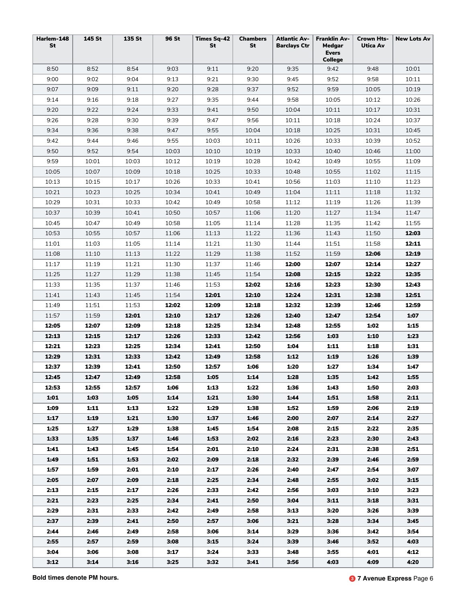| Harlem-148<br>St | 145 St | 135 St | <b>96 St</b> | <b>Times Sq-42</b><br>St | <b>Chambers</b><br><b>St</b> | <b>Atlantic Av-</b><br><b>Barclays Ctr</b> | <b>Franklin Av-</b><br>Medgar<br><b>Evers</b><br><b>College</b> | <b>Crown Hts-</b><br><b>Utica Av</b> | <b>New Lots Av</b> |
|------------------|--------|--------|--------------|--------------------------|------------------------------|--------------------------------------------|-----------------------------------------------------------------|--------------------------------------|--------------------|
| 8:50             | 8:52   | 8:54   | 9:03         | 9:11                     | 9:20                         | 9:35                                       | 9:42                                                            | 9:48                                 | 10:01              |
| 9:00             | 9:02   | 9:04   | 9:13         | 9:21                     | 9:30                         | 9:45                                       | 9:52                                                            | 9:58                                 | 10:11              |
| 9:07             | 9:09   | 9:11   | 9:20         | 9:28                     | 9:37                         | 9:52                                       | 9:59                                                            | 10:05                                | 10:19              |
| 9:14             | 9:16   | 9:18   | 9:27         | 9:35                     | 9:44                         | 9:58                                       | 10:05                                                           | 10:12                                | 10:26              |
| 9:20             | 9:22   | 9:24   | 9:33         | 9:41                     | 9:50                         | 10:04                                      | 10:11                                                           | 10:17                                | 10:31              |
| 9:26             | 9:28   | 9:30   | 9:39         | 9:47                     | 9:56                         | 10:11                                      | 10:18                                                           | 10:24                                | 10:37              |
| 9:34             | 9:36   | 9:38   | 9:47         | 9:55                     | 10:04                        | 10:18                                      | 10:25                                                           | 10:31                                | 10:45              |
| 9:42             | 9:44   | 9:46   | 9:55         | 10:03                    | 10:11                        | 10:26                                      | 10:33                                                           | 10:39                                | 10:52              |
| 9:50             | 9:52   | 9:54   | 10:03        | 10:10                    | 10:19                        | 10:33                                      | 10:40                                                           | 10:46                                | 11:00              |
| 9:59             | 10:01  | 10:03  | 10:12        | 10:19                    | 10:28                        | 10:42                                      | 10:49                                                           | 10:55                                | 11:09              |
| 10:05            | 10:07  | 10:09  | 10:18        | 10:25                    | 10:33                        | 10:48                                      | 10:55                                                           | 11:02                                | 11:15              |
| 10:13            | 10:15  | 10:17  | 10:26        | 10:33                    | 10:41                        | 10:56                                      | 11:03                                                           | 11:10                                | 11:23              |
| 10:21            | 10:23  | 10:25  | 10:34        | 10:41                    | 10:49                        | 11:04                                      | 11:11                                                           | 11:18                                | 11:32              |
| 10:29            | 10:31  | 10:33  | 10:42        | 10:49                    | 10:58                        | 11:12                                      | 11:19                                                           | 11:26                                | 11:39              |
| 10:37            | 10:39  | 10:41  | 10:50        | 10:57                    | 11:06                        | 11:20                                      | 11:27                                                           | 11:34                                | 11:47              |
| 10:45            | 10:47  | 10:49  | 10:58        | 11:05                    | 11:14                        | 11:28                                      | 11:35                                                           | 11:42                                | 11:55              |
| 10:53            | 10:55  | 10:57  | 11:06        | 11:13                    | 11:22                        | 11:36                                      | 11:43                                                           | 11:50                                | 12:03              |
| 11:01            | 11:03  | 11:05  | 11:14        | 11:21                    | 11:30                        | 11:44                                      | 11:51                                                           | 11:58                                | 12:11              |
| 11:08            | 11:10  | 11:13  | 11:22        | 11:29                    | 11:38                        | 11:52                                      | 11:59                                                           | 12:06                                | 12:19              |
| 11:17            | 11:19  | 11:21  | 11:30        | 11:37                    | 11:46                        | 12:00                                      | 12:07                                                           | 12:14                                | 12:27              |
| 11:25            | 11:27  | 11:29  | 11:38        | 11:45                    | 11:54                        | 12:08                                      | 12:15                                                           | 12:22                                | 12:35              |
| 11:33            | 11:35  | 11:37  | 11:46        | 11:53                    | 12:02                        | 12:16                                      | 12:23                                                           | 12:30                                | 12:43              |
| 11:41            | 11:43  | 11:45  | 11:54        | 12:01                    | 12:10                        | 12:24                                      | 12:31                                                           | 12:38                                | 12:51              |
| 11:49            | 11:51  | 11:53  | 12:02        | 12:09                    | 12:18                        | 12:32                                      | 12:39                                                           | 12:46                                | 12:59              |
| 11:57            | 11:59  | 12:01  | 12:10        | 12:17                    | 12:26                        | 12:40                                      | 12:47                                                           | 12:54                                | 1:07               |
| 12:05            | 12:07  | 12:09  | 12:18        | 12:25                    | 12:34                        | 12:48                                      | 12:55                                                           | 1:02                                 | 1:15               |
| 12:13            | 12:15  | 12:17  | 12:26        | 12:33                    | 12:42                        | 12:56                                      | 1:03                                                            | 1:10                                 | 1:23               |
| 12:21            | 12:23  | 12:25  | 12:34        | 12:41                    | 12:50                        | 1:04                                       | 1:11                                                            | 1:18                                 | 1:31               |
| 12:29            | 12:31  | 12:33  | 12:42        | 12:49                    | 12:58                        | 1:12                                       | 1:19                                                            | 1:26                                 | 1:39               |
| 12:37            | 12:39  | 12:41  | 12:50        | 12:57                    | 1:06                         | 1:20                                       | 1:27                                                            | 1:34                                 | 1:47               |
| 12:45            | 12:47  | 12:49  | 12:58        | 1:05                     | 1:14                         | 1:28                                       | 1:35                                                            | 1:42                                 | 1:55               |
| 12:53            | 12:55  | 12:57  | 1:06         | 1:13                     | 1:22                         | 1:36                                       | 1:43                                                            | 1:50                                 | 2:03               |
| 1:01             | 1:03   | 1:05   | 1:14         | 1:21                     | 1:30                         | 1:44                                       | 1:51                                                            | 1:58                                 | 2:11               |
| 1:09             | 1:11   | 1:13   | 1:22         | 1:29                     | 1:38                         | 1:52                                       | 1:59                                                            | 2:06                                 | 2:19               |
| 1:17             | 1:19   | 1:21   | 1:30         | 1:37                     | 1:46                         | 2:00                                       | 2:07                                                            | 2:14                                 | 2:27               |
| 1:25             | 1:27   | 1:29   | 1:38         | 1:45                     | 1:54                         | 2:08                                       | 2:15                                                            | 2:22                                 | 2:35               |
| 1:33             | 1:35   | 1:37   | 1:46         | 1:53                     | 2:02                         | 2:16                                       | 2:23                                                            | 2:30                                 | 2:43               |
| 1:41             | 1:43   | 1:45   | 1:54         | 2:01                     | 2:10                         | 2:24                                       | 2:31                                                            | 2:38                                 | 2:51               |
| 1:49             | 1:51   | 1:53   | 2:02         | 2:09                     | 2:18                         | 2:32                                       | 2:39                                                            | 2:46                                 | 2:59               |
| 1:57             | 1:59   | 2:01   | 2:10         | 2:17                     | 2:26                         | 2:40                                       | 2:47                                                            | 2:54                                 | 3:07               |
| 2:05             | 2:07   | 2:09   | 2:18         | 2:25                     | 2:34                         | 2:48                                       | 2:55                                                            | 3:02                                 | 3:15               |
| 2:13             | 2:15   | 2:17   | 2:26         | 2:33                     | 2:42                         | 2:56                                       | 3:03                                                            | 3:10                                 | 3:23               |
| 2:21             | 2:23   | 2:25   | 2:34         | 2:41                     | 2:50                         | 3:04                                       | 3:11                                                            | 3:18                                 | 3:31               |
| 2:29             | 2:31   | 2:33   | 2:42         | 2:49                     | 2:58                         | 3:13                                       | 3:20                                                            | 3:26                                 | 3:39               |
| 2:37             | 2:39   | 2:41   | 2:50         | 2:57                     | 3:06                         | 3:21                                       | 3:28                                                            | 3:34                                 | 3:45               |
| 2:44             | 2:46   | 2:49   | 2:58         | 3:06                     | 3:14                         | 3:29                                       | 3:36                                                            | 3:42                                 | 3:54               |
| 2:55             | 2:57   | 2:59   | 3:08         | 3:15                     | 3:24                         | 3:39                                       | 3:46                                                            | 3:52                                 | 4:03               |
| 3:04             | 3:06   | 3:08   | 3:17         | 3:24                     | 3:33                         | 3:48                                       | 3:55                                                            | 4:01                                 | 4:12               |
| 3:12             | 3:14   | 3:16   | 3:25         | 3:32                     | 3:41                         | 3:56                                       | 4:03                                                            | 4:09                                 | 4:20               |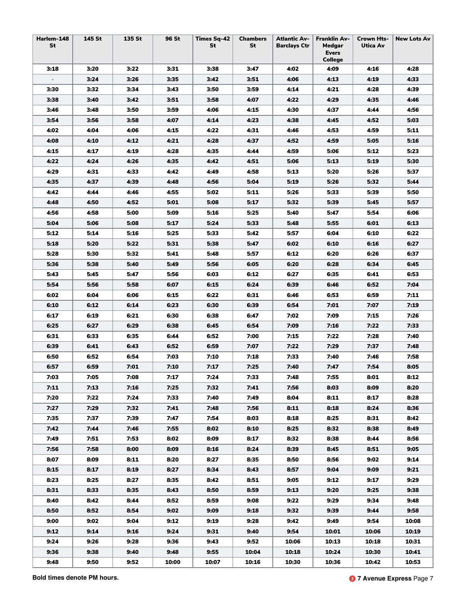| Harlem-148<br>St         | 145 St | 135 St | 96 St | <b>Times Sq-42</b><br>St | <b>Chambers</b><br>St | <b>Atlantic Av-</b><br><b>Barclays Ctr</b> | <b>Franklin Av-</b><br>Medgar<br><b>Evers</b><br>College | <b>Crown Hts-</b><br>Utica Av | <b>New Lots Av</b> |
|--------------------------|--------|--------|-------|--------------------------|-----------------------|--------------------------------------------|----------------------------------------------------------|-------------------------------|--------------------|
| 3:18                     | 3:20   | 3:22   | 3:31  | 3:38                     | 3:47                  | 4:02                                       | 4:09                                                     | 4:16                          | 4:28               |
| $\overline{\phantom{a}}$ | 3:24   | 3:26   | 3:35  | 3:42                     | 3:51                  | 4:06                                       | 4:13                                                     | 4:19                          | 4:33               |
| 3:30                     | 3:32   | 3:34   | 3:43  | 3:50                     | 3:59                  | 4:14                                       | 4:21                                                     | 4:28                          | 4:39               |
| 3:38                     | 3:40   | 3:42   | 3:51  | 3:58                     | 4:07                  | 4:22                                       | 4:29                                                     | 4:35                          | 4:46               |
| 3:46                     | 3:48   | 3:50   | 3:59  | 4:06                     | 4:15                  | 4:30                                       | 4:37                                                     | 4:44                          | 4:56               |
| 3:54                     | 3:56   | 3:58   | 4:07  | 4:14                     | 4:23                  | 4:38                                       | 4:45                                                     | 4:52                          | 5:03               |
| 4:02                     | 4:04   | 4:06   | 4:15  | 4:22                     | 4:31                  | 4:46                                       | 4:53                                                     | 4:59                          | 5:11               |
| 4:08                     | 4:10   | 4:12   | 4:21  | 4:28                     | 4:37                  | 4:52                                       | 4:59                                                     | 5:05                          | 5:16               |
| 4:15                     | 4:17   | 4:19   | 4:28  | 4:35                     | 4:44                  | 4:59                                       | 5:06                                                     | 5:12                          | 5:23               |
| 4:22                     | 4:24   | 4:26   | 4:35  | 4:42                     | 4:51                  | 5:06                                       | 5:13                                                     | 5:19                          | 5:30               |
| 4:29                     | 4:31   | 4:33   | 4:42  | 4:49                     | 4:58                  | 5:13                                       | 5:20                                                     | 5:26                          | 5:37               |
| 4:35                     | 4:37   | 4:39   | 4:48  | 4:56                     | 5:04                  | 5:19                                       | 5:26                                                     | 5:32                          | 5:44               |
| 4:42                     | 4:44   | 4:46   | 4:55  | 5:02                     | 5:11                  | 5:26                                       | 5:33                                                     | 5:39                          | 5:50               |
| 4:48                     | 4:50   | 4:52   | 5:01  | 5:08                     | 5:17                  | 5:32                                       | 5:39                                                     | 5:45                          | 5:57               |
| 4:56                     | 4:58   | 5:00   | 5:09  | 5:16                     | 5:25                  | 5:40                                       | 5:47                                                     | 5:54                          | 6:06               |
| 5:04                     | 5:06   | 5:08   | 5:17  | 5:24                     | 5:33                  | 5:48                                       | 5:55                                                     | 6:01                          | 6:13               |
| 5:12                     | 5:14   | 5:16   | 5:25  | 5:33                     | 5:42                  | 5:57                                       | 6:04                                                     | 6:10                          | 6:22               |
| 5:18                     | 5:20   | 5:22   | 5:31  | 5:38                     | 5:47                  | 6:02                                       | 6:10                                                     | 6:16                          | 6:27               |
| 5:28                     | 5:30   | 5:32   | 5:41  | 5:48                     | 5:57                  | 6:12                                       | 6:20                                                     | 6:26                          | 6:37               |
| 5:36                     | 5:38   | 5:40   | 5:49  | 5:56                     | 6:05                  | 6:20                                       | 6:28                                                     | 6:34                          | 6:45               |
| 5:43                     | 5:45   | 5:47   | 5:56  | 6:03                     | 6:12                  | 6:27                                       | 6:35                                                     | 6:41                          | 6:53               |
| 5:54                     | 5:56   | 5:58   | 6:07  | 6:15                     | 6:24                  | 6:39                                       | 6:46                                                     | 6:52                          | 7:04               |
| 6:02                     | 6:04   | 6:06   | 6:15  | 6:22                     | 6:31                  | 6:46                                       | 6:53                                                     | 6:59                          | 7:11               |
| 6:10                     | 6:12   | 6:14   | 6:23  | 6:30                     | 6:39                  | 6:54                                       | 7:01                                                     | 7:07                          | 7:19               |
| 6:17                     | 6:19   | 6:21   | 6:30  | 6:38                     | 6:47                  | 7:02                                       | 7:09                                                     | 7:15                          | 7:26               |
| 6:25                     | 6:27   | 6:29   | 6:38  | 6:45                     | 6:54                  | 7:09                                       | 7:16                                                     | 7:22                          | 7:33               |
| 6:31                     | 6:33   | 6:35   | 6:44  | 6:52                     | 7:00                  | 7:15                                       | 7:22                                                     | 7:28                          | 7:40               |
| 6:39                     | 6:41   | 6:43   | 6:52  | 6:59                     | 7:07                  | 7:22                                       | 7:29                                                     | 7:37                          | 7:48               |
| 6:50                     | 6:52   | 6:54   | 7:03  | 7:10                     | 7:18                  | 7:33                                       | 7:40                                                     | 7:46                          | 7:58               |
| 6:57                     | 6:59   | 7:01   | 7:10  | 7:17                     | 7:25                  | 7:40                                       | 7:47                                                     | 7:54                          | 8:05               |
| 7:03                     | 7:05   | 7:08   | 7:17  | 7:24                     | 7:33                  | 7:48                                       | 7:55                                                     | 8:01                          | 8:12               |
| 7:11                     | 7:13   | 7:16   | 7:25  | 7:32                     | 7:41                  | 7:56                                       | 8:03                                                     | 8:09                          | 8:20               |
| 7:20                     | 7:22   | 7:24   | 7:33  | 7:40                     | 7:49                  | 8:04                                       | 8:11                                                     | 8:17                          | 8:28               |
| 7:27                     | 7:29   | 7:32   | 7:41  | 7:48                     | 7:56                  | 8:11                                       | 8:18                                                     | 8:24                          | 8:36               |
| 7:35                     | 7:37   | 7:39   | 7:47  | 7:54                     | 8:03                  | 8:18                                       | 8:25                                                     | 8:31                          | 8:42               |
| 7:42                     | 7:44   | 7:46   | 7:55  | 8:02                     | 8:10                  | 8:25                                       | 8:32                                                     | 8:38                          | 8:49               |
| 7:49                     | 7:51   | 7:53   | 8:02  | 8:09                     | 8:17                  | 8:32                                       | 8:38                                                     | 8:44                          | 8:56               |
| 7:56                     | 7:58   | 8:00   | 8:09  | 8:16                     | 8:24                  | 8:39                                       | 8:45                                                     | 8:51                          | 9:05               |
| 8:07                     | 8:09   | 8:11   | 8:20  | 8:27                     | 8:35                  | 8:50                                       | 8:56                                                     | 9:02                          | 9:14               |
| 8:15                     | 8:17   | 8:19   | 8:27  | 8:34                     | 8:43                  | 8:57                                       | 9:04                                                     | 9:09                          | 9:21               |
| 8:23                     | 8:25   | 8:27   | 8:35  | 8:42                     | 8:51                  | 9:05                                       | 9:12                                                     | 9:17                          | 9:29               |
| 8:31                     | 8:33   | 8:35   | 8:43  | 8:50                     | 8:59                  | 9:13                                       | 9:20                                                     | 9:25                          | 9:38               |
| 8:40                     | 8:42   | 8:44   | 8:52  | 8:59                     | 9:08                  | 9:22                                       | 9:29                                                     | 9:34                          | 9:48               |
| 8:50                     | 8:52   | 8:54   | 9:02  | 9:09                     | 9:18                  | 9:32                                       | 9:39                                                     | 9:44                          | 9:58               |
| 9:00                     | 9:02   | 9:04   | 9:12  | 9:19                     | 9:28                  | 9:42                                       | 9:49                                                     | 9:54                          | 10:08              |
| 9:12                     | 9:14   | 9:16   | 9:24  | 9:31                     | 9:40                  | 9:54                                       | 10:01                                                    | 10:06                         | 10:19              |
| 9:24                     | 9:26   | 9:28   | 9:36  | 9:43                     | 9:52                  | 10:06                                      | 10:13                                                    | 10:18                         | 10:31              |
| 9:36                     | 9:38   | 9:40   | 9:48  | 9:55                     | 10:04                 | 10:18                                      | 10:24                                                    | 10:30                         | 10:41              |
| 9:48                     | 9:50   | 9:52   | 10:00 | 10:07                    | 10:16                 | 10:30                                      | 10:36                                                    | 10:42                         | 10:53              |

**Bold times denote PM hours.** 3. **3 7 Avenue Express** Page 7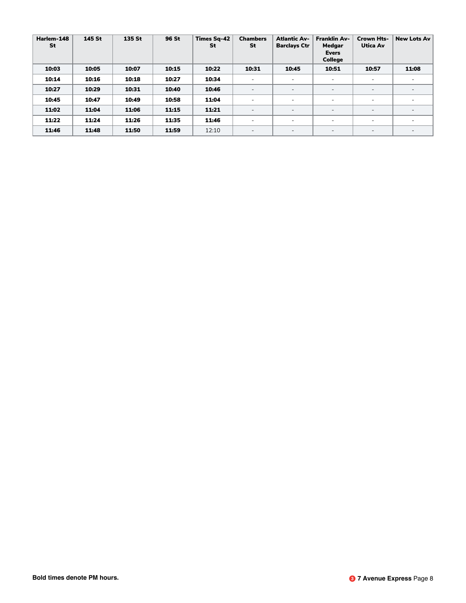| Harlem-148<br>St | 145 St | 135 St | 96 St | Times Sa-42<br>St | <b>Chambers</b><br>St    | <b>Atlantic Av-</b><br><b>Barclays Ctr</b> | <b>Franklin Av-</b><br>Medgar<br><b>Evers</b><br><b>College</b> | <b>Crown Hts-</b><br>Utica Av | <b>New Lots Av</b>       |
|------------------|--------|--------|-------|-------------------|--------------------------|--------------------------------------------|-----------------------------------------------------------------|-------------------------------|--------------------------|
| 10:03            | 10:05  | 10:07  | 10:15 | 10:22             | 10:31                    | 10:45                                      | 10:51                                                           | 10:57                         | 11:08                    |
| 10:14            | 10:16  | 10:18  | 10:27 | 10:34             | $\overline{\phantom{0}}$ | $\overline{\phantom{a}}$                   |                                                                 | $\overline{\phantom{a}}$      |                          |
| 10:27            | 10:29  | 10:31  | 10:40 | 10:46             | $\overline{\phantom{a}}$ | $\overline{\phantom{a}}$                   | $\overline{a}$                                                  | $\overline{\phantom{a}}$      | $\overline{\phantom{a}}$ |
| 10:45            | 10:47  | 10:49  | 10:58 | 11:04             | $\sim$                   | $\overline{\phantom{0}}$                   | -                                                               | $\overline{\phantom{0}}$      |                          |
| 11:02            | 11:04  | 11:06  | 11:15 | 11:21             | $\overline{\phantom{a}}$ | $\overline{\phantom{0}}$                   | $\overline{\phantom{0}}$                                        | $\overline{\phantom{a}}$      | $\overline{\phantom{0}}$ |
| 11:22            | 11:24  | 11:26  | 11:35 | 11:46             | $\overline{\phantom{0}}$ | $\overline{\phantom{0}}$                   | $\overline{\phantom{0}}$                                        | $\overline{\phantom{0}}$      |                          |
| 11:46            | 11:48  | 11:50  | 11:59 | 12:10             | $\overline{\phantom{a}}$ | $\overline{\phantom{a}}$                   | $\overline{\phantom{0}}$                                        | $\overline{\phantom{a}}$      | $\overline{\phantom{0}}$ |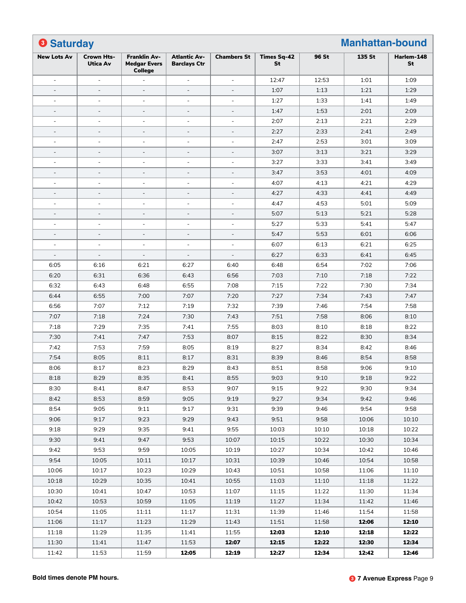| <b>8 Saturday</b>  |                               |                                                              |                                            |                    |                          |       | <b>Manhattan-bound</b> |                  |
|--------------------|-------------------------------|--------------------------------------------------------------|--------------------------------------------|--------------------|--------------------------|-------|------------------------|------------------|
| <b>New Lots Av</b> | Crown Hts-<br><b>Utica Av</b> | <b>Franklin Av-</b><br><b>Medgar Evers</b><br><b>College</b> | <b>Atlantic Av-</b><br><b>Barclays Ctr</b> | <b>Chambers St</b> | <b>Times Sq-42</b><br>St | 96 St | 135 St                 | Harlem-148<br>St |
|                    | $\bar{a}$                     |                                                              | $\bar{a}$                                  | $\overline{a}$     | 12:47                    | 12:53 | 1:01                   | 1:09             |
|                    | $\blacksquare$                |                                                              |                                            |                    | 1:07                     | 1:13  | 1:21                   | 1:29             |
| $\blacksquare$     | $\overline{\phantom{a}}$      | $\blacksquare$                                               | $\blacksquare$                             | $\blacksquare$     | 1:27                     | 1:33  | 1:41                   | 1:49             |
| $\qquad \qquad -$  | $\overline{\phantom{a}}$      | $\blacksquare$                                               | $\overline{\phantom{a}}$                   | $\blacksquare$     | 1:47                     | 1:53  | 2:01                   | 2:09             |
| $\equiv$           | $\blacksquare$                | $\blacksquare$                                               | $\blacksquare$                             | ÷                  | 2:07                     | 2:13  | 2:21                   | 2:29             |
|                    | $\overline{\phantom{a}}$      |                                                              |                                            |                    | 2:27                     | 2:33  | 2:41                   | 2:49             |
| $\equiv$           | $\sim$                        | $\blacksquare$                                               | $\blacksquare$                             | $\blacksquare$     | 2:47                     | 2:53  | 3:01                   | 3:09             |
| $\qquad \qquad -$  | $\blacksquare$                | $\overline{\phantom{a}}$                                     | $\equiv$                                   | $\equiv$           | 3:07                     | 3:13  | 3:21                   | 3:29             |
|                    | $\blacksquare$                | ÷                                                            | ÷                                          | ÷                  | 3:27                     | 3:33  | 3:41                   | 3:49             |
| $\qquad \qquad -$  | $\overline{\phantom{a}}$      | $\overline{\phantom{a}}$                                     |                                            | $\equiv$           | 3:47                     | 3:53  | 4:01                   | 4:09             |
| $\blacksquare$     | $\sim$                        | $\blacksquare$                                               | $\bar{a}$                                  | $\bar{a}$          | 4:07                     | 4:13  | 4:21                   | 4:29             |
| $\qquad \qquad -$  | $\blacksquare$                | $\equiv$                                                     | $\equiv$                                   | $\equiv$           | 4:27                     | 4:33  | 4:41                   | 4:49             |
| ٠                  | $\blacksquare$                | ÷                                                            | ÷                                          | ÷                  | 4:47                     | 4:53  | 5:01                   | 5:09             |
|                    | $\overline{\phantom{a}}$      |                                                              |                                            |                    | 5:07                     | 5:13  | 5:21                   | 5:28             |
| ٠                  | $\sim$                        | $\blacksquare$                                               | $\blacksquare$                             | $\blacksquare$     | 5:27                     | 5:33  | 5:41                   | 5:47             |
| $\qquad \qquad -$  | $\blacksquare$                | $\overline{\phantom{a}}$                                     | $\equiv$                                   | $\equiv$           | 5:47                     | 5:53  | 6:01                   | 6:06             |
| ٠                  | $\sim$                        | ÷                                                            | $\bar{a}$                                  | ÷                  | 6:07                     | 6:13  | 6:21                   | 6:25             |
|                    |                               |                                                              |                                            |                    | 6:27                     | 6:33  | 6:41                   | 6:45             |
| 6:05               | 6:16                          | 6:21                                                         | 6:27                                       | 6:40               | 6:48                     | 6:54  | 7:02                   | 7:06             |
| 6:20               | 6:31                          | 6:36                                                         | 6:43                                       | 6:56               | 7:03                     | 7:10  | 7:18                   | 7:22             |
| 6:32               | 6:43                          | 6:48                                                         | 6:55                                       | 7:08               | 7:15                     | 7:22  | 7:30                   | 7:34             |
| 6:44               | 6:55                          | 7:00                                                         | 7:07                                       | 7:20               | 7:27                     | 7:34  | 7:43                   | 7:47             |
| 6:56               | 7:07                          | 7:12                                                         | 7:19                                       | 7:32               | 7:39                     | 7:46  | 7:54                   | 7:58             |
| 7:07               | 7:18                          | 7:24                                                         | 7:30                                       | 7:43               | 7:51                     | 7:58  | 8:06                   | 8:10             |
| 7:18               | 7:29                          | 7:35                                                         | 7:41                                       | 7:55               | 8:03                     | 8:10  | 8:18                   | 8:22             |
| 7:30               | 7:41                          | 7:47                                                         | 7:53                                       | 8:07               | 8:15                     | 8:22  | 8:30                   | 8:34             |
| 7:42               | 7:53                          | 7:59                                                         | 8:05                                       | 8:19               | 8:27                     | 8:34  | 8:42                   | 8:46             |
|                    |                               |                                                              |                                            |                    |                          |       |                        |                  |
| 7:54               | 8:05                          | 8:11                                                         | 8:17                                       | 8:31               | 8:39                     | 8:46  | 8:54                   | 8:58             |
| 8:06               | 8:17                          | 8:23                                                         | 8:29                                       | 8:43               | 8:51                     | 8:58  | 9:06                   | 9:10             |
| 8:18               | 8:29                          | 8:35                                                         | 8:41                                       | 8:55               | 9:03                     | 9:10  | 9:18                   | 9:22             |
| 8:30               | 8:41                          | 8:47                                                         | 8:53                                       | 9:07               | 9:15                     | 9:22  | 9:30                   | 9:34             |
| 8:42               | 8:53                          | 8:59                                                         | 9:05                                       | 9:19               | 9:27                     | 9:34  | 9:42                   | 9:46             |
| 8:54               | 9:05                          | 9:11                                                         | 9:17                                       | 9:31               | 9:39                     | 9:46  | 9:54                   | 9:58             |
| 9:06               | 9:17                          | 9:23                                                         | 9:29                                       | 9:43               | 9:51                     | 9:58  | 10:06                  | 10:10            |
| 9:18               | 9:29                          | 9:35                                                         | 9:41                                       | 9:55               | 10:03                    | 10:10 | 10:18                  | 10:22            |
| 9:30               | 9:41                          | 9:47                                                         | 9:53                                       | 10:07              | 10:15                    | 10:22 | 10:30                  | 10:34            |
| 9:42               | 9:53                          | 9:59                                                         | 10:05                                      | 10:19              | 10:27                    | 10:34 | 10:42                  | 10:46            |
| 9:54               | 10:05                         | 10:11                                                        | 10:17                                      | 10:31              | 10:39                    | 10:46 | 10:54                  | 10:58            |
| 10:06              | 10:17                         | 10:23                                                        | 10:29                                      | 10:43              | 10:51                    | 10:58 | 11:06                  | 11:10            |
| 10:18              | 10:29                         | 10:35                                                        | 10:41                                      | 10:55              | 11:03                    | 11:10 | 11:18                  | 11:22            |
| 10:30              | 10:41                         | 10:47                                                        | 10:53                                      | 11:07              | 11:15                    | 11:22 | 11:30                  | 11:34            |
| 10:42              | 10:53                         | 10:59                                                        | 11:05                                      | 11:19              | 11:27                    | 11:34 | 11:42                  | 11:46            |
| 10:54              | 11:05                         | 11:11                                                        | 11:17                                      | 11:31              | 11:39                    | 11:46 | 11:54                  | 11:58            |
| 11:06              | 11:17                         | 11:23                                                        | 11:29                                      | 11:43              | 11:51                    | 11:58 | 12:06                  | 12:10            |
| 11:18              | 11:29                         | 11:35                                                        | 11:41                                      | 11:55              | 12:03                    | 12:10 | 12:18                  | 12:22            |
| 11:30              | 11:41                         | 11:47                                                        | 11:53                                      | 12:07              | 12:15                    | 12:22 | 12:30                  | 12:34            |
| 11:42              | 11:53                         | 11:59                                                        | 12:05                                      | 12:19              | 12:27                    | 12:34 | 12:42                  | 12:46            |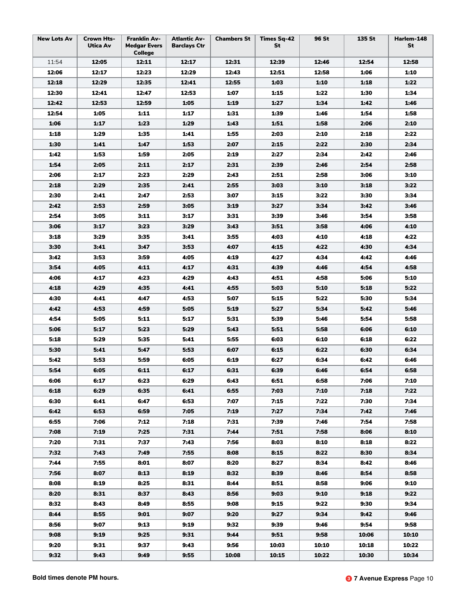| <b>New Lots Av</b> | <b>Crown Hts-</b><br>Utica Av | <b>Franklin Av-</b><br><b>Medgar Evers</b><br><b>College</b> | <b>Atlantic Av-</b><br><b>Barclays Ctr</b> | <b>Chambers St</b> | <b>Times Sq-42</b><br>St | <b>96 St</b> | 135 St | Harlem-148<br>St |
|--------------------|-------------------------------|--------------------------------------------------------------|--------------------------------------------|--------------------|--------------------------|--------------|--------|------------------|
| 11:54              | 12:05                         | 12:11                                                        | 12:17                                      | 12:31              | 12:39                    | 12:46        | 12:54  | 12:58            |
| 12:06              | 12:17                         | 12:23                                                        | 12:29                                      | 12:43              | 12:51                    | 12:58        | 1:06   | 1:10             |
| 12:18              | 12:29                         | 12:35                                                        | 12:41                                      | 12:55              | 1:03                     | 1:10         | 1:18   | 1:22             |
| 12:30              | 12:41                         | 12:47                                                        | 12:53                                      | 1:07               | 1:15                     | 1:22         | 1:30   | 1:34             |
| 12:42              | 12:53                         | 12:59                                                        | 1:05                                       | 1:19               | 1:27                     | 1:34         | 1:42   | 1:46             |
| 12:54              | 1:05                          | 1:11                                                         | 1:17                                       | 1:31               | 1:39                     | 1:46         | 1:54   | 1:58             |
| 1:06               | 1:17                          | 1:23                                                         | 1:29                                       | 1:43               | 1:51                     | 1:58         | 2:06   | 2:10             |
| 1:18               | 1:29                          | 1:35                                                         | 1:41                                       | 1:55               | 2:03                     | 2:10         | 2:18   | 2:22             |
| 1:30               | 1:41                          | 1:47                                                         | 1:53                                       | 2:07               | 2:15                     | 2:22         | 2:30   | 2:34             |
| 1:42               | 1:53                          | 1:59                                                         | 2:05                                       | 2:19               | 2:27                     | 2:34         | 2:42   | 2:46             |
| 1:54               | 2:05                          | 2:11                                                         | 2:17                                       | 2:31               | 2:39                     | 2:46         | 2:54   | 2:58             |
| 2:06               | 2:17                          | 2:23                                                         | 2:29                                       | 2:43               | 2:51                     | 2:58         | 3:06   | 3:10             |
| 2:18               | 2:29                          | 2:35                                                         | 2:41                                       | 2:55               | 3:03                     | 3:10         | 3:18   | 3:22             |
| 2:30               | 2:41                          | 2:47                                                         | 2:53                                       | 3:07               | 3:15                     | 3:22         | 3:30   | 3:34             |
| 2:42               | 2:53                          | 2:59                                                         | 3:05                                       | 3:19               | 3:27                     | 3:34         | 3:42   | 3:46             |
| 2:54               | 3:05                          | 3:11                                                         | 3:17                                       | 3:31               | 3:39                     | 3:46         | 3:54   | 3:58             |
| 3:06               | 3:17                          | 3:23                                                         | 3:29                                       | 3:43               | 3:51                     | 3:58         | 4:06   | 4:10             |
| 3:18               | 3:29                          | 3:35                                                         | 3:41                                       | 3:55               | 4:03                     | 4:10         | 4:18   | 4:22             |
| 3:30               | 3:41                          | 3:47                                                         | 3:53                                       | 4:07               | 4:15                     | 4:22         | 4:30   | 4:34             |
| 3:42               | 3:53                          | 3:59                                                         | 4:05                                       | 4:19               | 4:27                     | 4:34         | 4:42   | 4:46             |
| 3:54               | 4:05                          | 4:11                                                         | 4:17                                       | 4:31               | 4:39                     | 4:46         | 4:54   | 4:58             |
| 4:06               | 4:17                          | 4:23                                                         | 4:29                                       | 4:43               | 4:51                     | 4:58         | 5:06   | 5:10             |
| 4:18               | 4:29                          | 4:35                                                         | 4:41                                       | 4:55               | 5:03                     | 5:10         | 5:18   | 5:22             |
| 4:30               | 4:41                          | 4:47                                                         | 4:53                                       | 5:07               | 5:15                     | 5:22         | 5:30   | 5:34             |
| 4:42               | 4:53                          | 4:59                                                         | 5:05                                       | 5:19               | 5:27                     | 5:34         | 5:42   | 5:46             |
| 4:54               | 5:05                          | 5:11                                                         | 5:17                                       | 5:31               | 5:39                     | 5:46         | 5:54   | 5:58             |
| 5:06               | 5:17                          | 5:23                                                         | 5:29                                       | 5:43               | 5:51                     | 5:58         | 6:06   | 6:10             |
| 5:18               | 5:29                          | 5:35                                                         | 5:41                                       | 5:55               | 6:03                     | 6:10         | 6:18   | 6:22             |
| 5:30               | 5:41                          | 5:47                                                         | 5:53                                       | 6:07               | 6:15                     | 6:22         | 6:30   | 6:34             |
| 5:42               | 5:53                          | 5:59                                                         | 6:05                                       | 6:19               | 6:27                     | 6:34         | 6:42   | 6:46             |
| 5:54               | 6:05                          | 6:11                                                         | 6:17                                       | 6:31               | 6:39                     | 6:46         | 6:54   | 6:58             |
| 6:06               | 6:17                          | 6:23                                                         | 6:29                                       | 6:43               | 6:51                     | 6:58         | 7:06   | 7:10             |
| 6:18               | 6:29                          | 6:35                                                         | 6:41                                       | 6:55               | 7:03                     | 7:10         | 7:18   | 7:22             |
| 6:30               | 6:41                          | 6:47                                                         | 6:53                                       | 7:07               | 7:15                     | 7:22         | 7:30   | 7:34             |
| 6:42               | 6:53                          | 6:59                                                         | 7:05                                       | 7:19               | 7:27                     | 7:34         | 7:42   | 7:46             |
| 6:55               | 7:06                          | 7:12                                                         | 7:18                                       | 7:31               | 7:39                     | 7:46         | 7:54   | 7:58             |
| 7:08               | 7:19                          | 7:25                                                         | 7:31                                       | 7:44               | 7:51                     | 7:58         | 8:06   | 8:10             |
| 7:20               | 7:31                          | 7:37                                                         | 7:43                                       | 7:56               | 8:03                     | 8:10         | 8:18   | 8:22             |
| 7:32               | 7:43                          | 7:49                                                         | 7:55                                       | 8:08               | 8:15                     | 8:22         | 8:30   | 8:34             |
| 7:44               | 7:55                          | 8:01                                                         | 8:07                                       | 8:20               | 8:27                     | 8:34         | 8:42   | 8:46             |
| 7:56               | 8:07                          | 8:13                                                         | 8:19                                       | 8:32               | 8:39                     | 8:46         | 8:54   | 8:58             |
| 8:08               | 8:19                          | 8:25                                                         | 8:31                                       | 8:44               | 8:51                     | 8:58         | 9:06   | 9:10             |
| 8:20               | 8:31                          | 8:37                                                         | 8:43                                       | 8:56               | 9:03                     | 9:10         | 9:18   | 9:22             |
| 8:32               | 8:43                          | 8:49                                                         | 8:55                                       | 9:08               | 9:15                     | 9:22         | 9:30   | 9:34             |
| 8:44               | 8:55                          | 9:01                                                         | 9:07                                       | 9:20               | 9:27                     | 9:34         | 9:42   | 9:46             |
| 8:56               | 9:07                          | 9:13                                                         | 9:19                                       | 9:32               | 9:39                     | 9:46         | 9:54   | 9:58             |
| 9:08               | 9:19                          | 9:25                                                         | 9:31                                       | 9:44               | 9:51                     | 9:58         | 10:06  | 10:10            |
| 9:20               | 9:31                          | 9:37                                                         | 9:43                                       | 9:56               | 10:03                    | 10:10        | 10:18  | 10:22            |
| 9:32               | 9:43                          | 9:49                                                         | 9:55                                       | 10:08              | 10:15                    | 10:22        | 10:30  | 10:34            |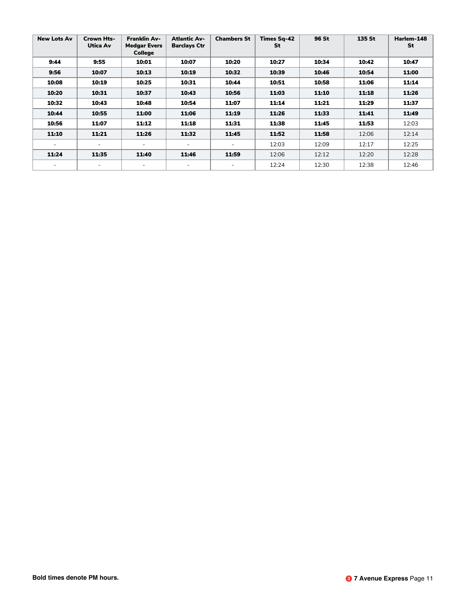| <b>New Lots Av</b>       | <b>Crown Hts-</b><br>Utica Av | <b>Franklin Av-</b><br><b>Medgar Evers</b><br><b>College</b> | <b>Atlantic Av-</b><br><b>Barclays Ctr</b> | <b>Chambers St</b>       | <b>Times Sq-42</b><br>St | 96 St | 135 St | Harlem-148<br>St |
|--------------------------|-------------------------------|--------------------------------------------------------------|--------------------------------------------|--------------------------|--------------------------|-------|--------|------------------|
| 9:44                     | 9:55                          | 10:01                                                        | 10:07                                      | 10:20                    | 10:27                    | 10:34 | 10:42  | 10:47            |
| 9:56                     | 10:07                         | 10:13                                                        | 10:19                                      | 10:32                    | 10:39                    | 10:46 | 10:54  | 11:00            |
| 10:08                    | 10:19                         | 10:25                                                        | 10:31                                      | 10:44                    | 10:51                    | 10:58 | 11:06  | 11:14            |
| 10:20                    | 10:31                         | 10:37                                                        | 10:43                                      | 10:56                    | 11:03                    | 11:10 | 11:18  | 11:26            |
| 10:32                    | 10:43                         | 10:48                                                        | 10:54                                      | 11:07                    | 11:14                    | 11:21 | 11:29  | 11:37            |
| 10:44                    | 10:55                         | 11:00                                                        | 11:06                                      | 11:19                    | 11:26                    | 11:33 | 11:41  | 11:49            |
| 10:56                    | 11:07                         | 11:12                                                        | 11:18                                      | 11:31                    | 11:38                    | 11:45 | 11:53  | 12:03            |
| 11:10                    | 11:21                         | 11:26                                                        | 11:32                                      | 11:45                    | 11:52                    | 11:58 | 12:06  | 12:14            |
| $\overline{\phantom{a}}$ | $\overline{\phantom{a}}$      |                                                              | $\overline{\phantom{a}}$                   | $\overline{\phantom{a}}$ | 12:03                    | 12:09 | 12:17  | 12:25            |
| 11:24                    | 11:35                         | 11:40                                                        | 11:46                                      | 11:59                    | 12:06                    | 12:12 | 12:20  | 12:28            |
| ۰                        | $\overline{\phantom{0}}$      |                                                              |                                            |                          | 12:24                    | 12:30 | 12:38  | 12:46            |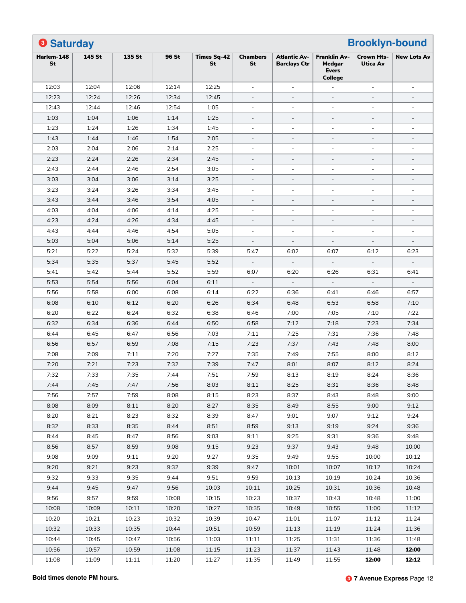| <b>8 Saturday</b> |        |        |       |                          |                          |                                            |                                                                 | <b>Brooklyn-bound</b>         |                          |
|-------------------|--------|--------|-------|--------------------------|--------------------------|--------------------------------------------|-----------------------------------------------------------------|-------------------------------|--------------------------|
| Harlem-148<br>St  | 145 St | 135 St | 96 St | <b>Times Sq-42</b><br>St | <b>Chambers</b><br>St    | <b>Atlantic Av-</b><br><b>Barclays Ctr</b> | <b>Franklin Av-</b><br>Medaar<br><b>Evers</b><br><b>College</b> | <b>Crown Hts-</b><br>Utica Av | <b>New Lots Av</b>       |
| 12:03             | 12:04  | 12:06  | 12:14 | 12:25                    | $\bar{a}$                | ÷,                                         |                                                                 |                               |                          |
| 12:23             | 12:24  | 12:26  | 12:34 | 12:45                    | $\overline{\phantom{a}}$ | $\overline{\phantom{a}}$                   | $\overline{\phantom{a}}$                                        | $\overline{\phantom{a}}$      | $\overline{\phantom{a}}$ |
| 12:43             | 12:44  | 12:46  | 12:54 | 1:05                     | $\bar{a}$                | $\blacksquare$                             | $\overline{\phantom{a}}$                                        |                               |                          |
| 1:03              | 1:04   | 1:06   | 1:14  | 1:25                     |                          | $\overline{\phantom{a}}$                   | $\overline{\phantom{a}}$                                        | $\equiv$                      |                          |
| 1:23              | 1:24   | 1:26   | 1:34  | 1:45                     | $\bar{a}$                | ÷,                                         | $\overline{\phantom{a}}$                                        |                               | $\overline{a}$           |
| 1:43              | 1:44   | 1:46   | 1:54  | 2:05                     | $\overline{\phantom{a}}$ | $\overline{\phantom{a}}$                   | $\overline{\phantom{a}}$                                        | $\overline{\phantom{a}}$      | $\overline{\phantom{a}}$ |
| 2:03              | 2:04   | 2:06   | 2:14  | 2:25                     | $\bar{a}$                | $\overline{\phantom{a}}$                   | $\overline{\phantom{a}}$                                        |                               |                          |
| 2:23              | 2:24   | 2:26   | 2:34  | 2:45                     |                          | $\bar{ }$                                  | $\overline{a}$                                                  |                               |                          |
| 2:43              | 2:44   | 2:46   | 2:54  | 3:05                     |                          | $\blacksquare$                             |                                                                 |                               |                          |
| 3:03              | 3:04   | 3:06   | 3:14  | 3:25                     | $\overline{\phantom{a}}$ | $\overline{\phantom{a}}$                   | $\overline{\phantom{a}}$                                        | $\overline{\phantom{a}}$      | $\overline{\phantom{a}}$ |
| 3:23              | 3:24   | 3:26   | 3:34  | 3:45                     | $\bar{a}$                | ÷,                                         |                                                                 |                               |                          |
| 3:43              | 3:44   | 3:46   | 3:54  | 4:05                     |                          | $\overline{\phantom{a}}$                   | $\overline{\phantom{a}}$                                        | $\qquad \qquad -$             |                          |
| 4:03              | 4:04   | 4:06   | 4:14  | 4:25                     | $\bar{a}$                | $\overline{\phantom{a}}$                   | $\sim$                                                          |                               | $\overline{a}$           |
| 4:23              | 4:24   | 4:26   | 4:34  | 4:45                     | $\overline{\phantom{a}}$ | $\overline{\phantom{a}}$                   | $\overline{\phantom{a}}$                                        | $\overline{\phantom{a}}$      | $\overline{\phantom{a}}$ |
| 4:43              | 4:44   | 4:46   | 4:54  | 5:05                     | $\equiv$                 | $\overline{\phantom{a}}$                   |                                                                 |                               | $\blacksquare$           |
| 5:03              | 5:04   | 5:06   | 5:14  | 5:25                     |                          |                                            |                                                                 |                               |                          |
| 5:21              | 5:22   | 5:24   | 5:32  | 5:39                     | 5:47                     | 6:02                                       | 6:07                                                            | 6:12                          | 6:23                     |
| 5:34              | 5:35   | 5:37   | 5:45  | 5:52                     | $\overline{\phantom{a}}$ | $\overline{\phantom{a}}$                   |                                                                 | $\overline{\phantom{a}}$      |                          |
| 5:41              | 5:42   | 5:44   | 5:52  | 5:59                     | 6:07                     | 6:20                                       | 6:26                                                            | 6:31                          | 6:41                     |
| 5:53              | 5:54   | 5:56   | 6:04  | 6:11                     |                          |                                            |                                                                 |                               |                          |
| 5:56              | 5:58   | 6:00   | 6:08  | 6:14                     | 6:22                     | 6:36                                       | 6:41                                                            | 6:46                          | 6:57                     |
| 6:08              | 6:10   | 6:12   | 6:20  | 6:26                     | 6:34                     | 6:48                                       | 6:53                                                            | 6:58                          | 7:10                     |
| 6:20              | 6:22   | 6:24   | 6:32  | 6:38                     | 6:46                     | 7:00                                       | 7:05                                                            | 7:10                          | 7:22                     |
| 6:32              | 6:34   | 6:36   | 6:44  | 6:50                     | 6:58                     | 7:12                                       | 7:18                                                            | 7:23                          | 7:34                     |
| 6:44              | 6:45   | 6:47   | 6:56  | 7:03                     | 7:11                     | 7:25                                       | 7:31                                                            | 7:36                          | 7:48                     |
| 6:56              | 6:57   | 6:59   | 7:08  | 7:15                     | 7:23                     | 7:37                                       | 7:43                                                            | 7:48                          | 8:00                     |
| 7:08              | 7:09   | 7:11   | 7:20  | 7:27                     | 7:35                     | 7:49                                       | 7:55                                                            | 8:00                          | 8:12                     |
| 7:20              | 7:21   | 7:23   | 7:32  | 7:39                     | 7:47                     | 8:01                                       | 8:07                                                            | 8:12                          | 8:24                     |
| 7:32              | 7:33   | 7:35   | 7:44  | 7:51                     | 7:59                     | 8:13                                       | 8:19                                                            | 8:24                          | 8:36                     |
| 7:44              | 7:45   | 7:47   | 7:56  | 8:03                     | 8:11                     | 8:25                                       | 8:31                                                            | 8:36                          | 8:48                     |
| 7:56              | 7:57   | 7:59   | 8:08  | 8:15                     | 8:23                     | 8:37                                       | 8:43                                                            | 8:48                          | 9:00                     |
| 8:08              | 8:09   | 8:11   | 8:20  | 8:27                     | 8:35                     | 8:49                                       | 8:55                                                            | 9:00                          | 9:12                     |
| 8:20              | 8:21   | 8:23   | 8:32  | 8:39                     | 8:47                     | 9:01                                       | 9:07                                                            | 9:12                          | 9:24                     |
| 8:32              | 8:33   | 8:35   | 8:44  | 8:51                     | 8:59                     | 9:13                                       | 9:19                                                            | 9:24                          | 9:36                     |
| 8:44              | 8:45   | 8:47   | 8:56  | 9:03                     | 9:11                     | 9:25                                       | 9:31                                                            | 9:36                          | 9:48                     |
| 8:56              | 8:57   | 8:59   | 9:08  | 9:15                     | 9:23                     | 9:37                                       | 9:43                                                            | 9:48                          | 10:00                    |
| 9:08              | 9:09   | 9:11   | 9:20  | 9:27                     | 9:35                     | 9:49                                       | 9:55                                                            | 10:00                         | 10:12                    |
| 9:20              | 9:21   | 9:23   | 9:32  | 9:39                     | 9:47                     | 10:01                                      | 10:07                                                           | 10:12                         | 10:24                    |
| 9:32              | 9:33   | 9:35   | 9:44  | 9:51                     | 9:59                     | 10:13                                      | 10:19                                                           | 10:24                         | 10:36                    |
| 9:44              | 9:45   | 9:47   | 9:56  | 10:03                    | 10:11                    | 10:25                                      | 10:31                                                           | 10:36                         | 10:48                    |
| 9:56              | 9:57   | 9:59   | 10:08 | 10:15                    | 10:23                    | 10:37                                      | 10:43                                                           | 10:48                         | 11:00                    |
| 10:08             | 10:09  | 10:11  | 10:20 | 10:27                    | 10:35                    | 10:49                                      | 10:55                                                           | 11:00                         | 11:12                    |
| 10:20             | 10:21  | 10:23  | 10:32 | 10:39                    | 10:47                    | 11:01                                      | 11:07                                                           | 11:12                         | 11:24                    |
| 10:32             | 10:33  | 10:35  | 10:44 | 10:51                    | 10:59                    | 11:13                                      | 11:19                                                           | 11:24                         | 11:36                    |
| 10:44             | 10:45  | 10:47  | 10:56 | 11:03                    | 11:11                    | 11:25                                      | 11:31                                                           | 11:36                         | 11:48                    |
| 10:56             | 10:57  | 10:59  | 11:08 | 11:15                    | 11:23                    | 11:37                                      | 11:43                                                           | 11:48                         | 12:00                    |
|                   |        |        |       |                          |                          |                                            |                                                                 |                               | 12:12                    |
| 11:08             | 11:09  | 11:11  | 11:20 | 11:27                    | 11:35                    | 11:49                                      | 11:55                                                           | 12:00                         |                          |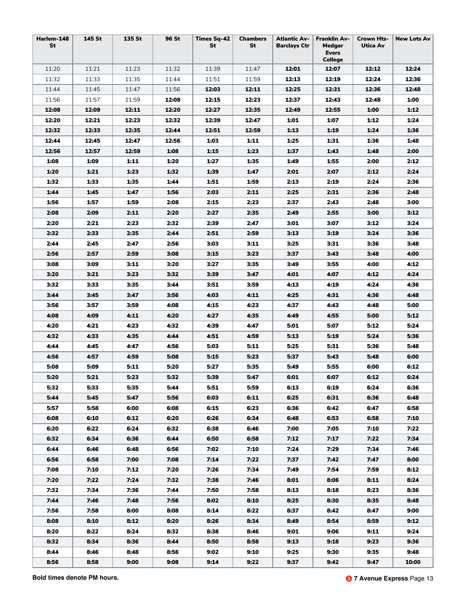| Harlem-148<br>St | 145 St | 135 St | 96 St | <b>Times Sq-42</b><br>St | <b>Chambers</b><br>St | <b>Atlantic Av-</b><br><b>Barclays Ctr</b> | <b>Franklin Av-</b><br>Medgar<br><b>Evers</b><br><b>College</b> | <b>Crown Hts-</b><br>Utica Av | <b>New Lots Av</b> |
|------------------|--------|--------|-------|--------------------------|-----------------------|--------------------------------------------|-----------------------------------------------------------------|-------------------------------|--------------------|
| 11:20            | 11:21  | 11:23  | 11:32 | 11:39                    | 11:47                 | 12:01                                      | 12:07                                                           | 12:12                         | 12:24              |
| 11:32            | 11:33  | 11:35  | 11:44 | 11:51                    | 11:59                 | 12:13                                      | 12:19                                                           | 12:24                         | 12:36              |
| 11:44            | 11:45  | 11:47  | 11:56 | 12:03                    | 12:11                 | 12:25                                      | 12:31                                                           | 12:36                         | 12:48              |
| 11:56            | 11:57  | 11:59  | 12:08 | 12:15                    | 12:23                 | 12:37                                      | 12:43                                                           | 12:48                         | 1:00               |
| 12:08            | 12:09  | 12:11  | 12:20 | 12:27                    | 12:35                 | 12:49                                      | 12:55                                                           | 1:00                          | 1:12               |
| 12:20            | 12:21  | 12:23  | 12:32 | 12:39                    | 12:47                 | 1:01                                       | 1:07                                                            | 1:12                          | 1:24               |
| 12:32            | 12:33  | 12:35  | 12:44 | 12:51                    | 12:59                 | 1:13                                       | 1:19                                                            | 1:24                          | 1:36               |
| 12:44            | 12:45  | 12:47  | 12:56 | 1:03                     | 1:11                  | 1:25                                       | 1:31                                                            | 1:36                          | 1:48               |
| 12:56            | 12:57  | 12:59  | 1:08  | 1:15                     | 1:23                  | 1:37                                       | 1:43                                                            | 1:48                          | 2:00               |
| 1:08             | 1:09   | 1:11   | 1:20  | 1:27                     | 1:35                  | 1:49                                       | 1:55                                                            | 2:00                          | 2:12               |
| 1:20             | 1:21   | 1:23   | 1:32  | 1:39                     | 1:47                  | 2:01                                       | 2:07                                                            | 2:12                          | 2:24               |
| 1:32             | 1:33   | 1:35   | 1:44  | 1:51                     | 1:59                  | 2:13                                       | 2:19                                                            | 2:24                          | 2:36               |
| 1:44             | 1:45   | 1:47   | 1:56  | 2:03                     | 2:11                  | 2:25                                       | 2:31                                                            | 2:36                          | 2:48               |
| 1:56             | 1:57   | 1:59   | 2:08  | 2:15                     | 2:23                  | 2:37                                       | 2:43                                                            | 2:48                          | 3:00               |
| 2:08             | 2:09   | 2:11   | 2:20  | 2:27                     | 2:35                  | 2:49                                       | 2:55                                                            | 3:00                          | 3:12               |
| 2:20             | 2:21   | 2:23   | 2:32  | 2:39                     | 2:47                  | 3:01                                       | 3:07                                                            | 3:12                          | 3:24               |
| 2:32             | 2:33   | 2:35   | 2:44  | 2:51                     | 2:59                  | 3:13                                       | 3:19                                                            | 3:24                          | 3:36               |
| 2:44             | 2:45   | 2:47   | 2:56  | 3:03                     | 3:11                  | 3:25                                       | 3:31                                                            | 3:36                          | 3:48               |
| 2:56             | 2:57   | 2:59   | 3:08  | 3:15                     | 3:23                  | 3:37                                       | 3:43                                                            | 3:48                          | 4:00               |
| 3:08             | 3:09   | 3:11   | 3:20  | 3:27                     | 3:35                  | 3:49                                       | 3:55                                                            | 4:00                          | 4:12               |
| 3:20             | 3:21   | 3:23   | 3:32  | 3:39                     | 3:47                  | 4:01                                       | 4:07                                                            | 4:12                          | 4:24               |
| 3:32             | 3:33   | 3:35   | 3:44  | 3:51                     | 3:59                  | 4:13                                       | 4:19                                                            | 4:24                          | 4:36               |
| 3:44             | 3:45   | 3:47   | 3:56  | 4:03                     | 4:11                  | 4:25                                       | 4:31                                                            | 4:36                          | 4:48               |
| 3:56             | 3:57   | 3:59   | 4:08  | 4:15                     | 4:23                  | 4:37                                       | 4:43                                                            | 4:48                          | 5:00               |
| 4:08             | 4:09   | 4:11   | 4:20  | 4:27                     | 4:35                  | 4:49                                       | 4:55                                                            | 5:00                          | 5:12               |
| 4:20             | 4:21   | 4:23   | 4:32  | 4:39                     | 4:47                  | 5:01                                       | 5:07                                                            | 5:12                          | 5:24               |
| 4:32             | 4:33   | 4:35   | 4:44  | 4:51                     | 4:59                  | 5:13                                       | 5:19                                                            | 5:24                          | 5:36               |
| 4:44             | 4:45   | 4:47   | 4:56  | 5:03                     | 5:11                  | 5:25                                       | 5:31                                                            | 5:36                          | 5:48               |
| 4:56             | 4:57   | 4:59   | 5:08  | 5:15                     | 5:23                  | 5:37                                       | 5:43                                                            | 5:48                          | 6:00               |
| 5:08             | 5:09   | 5:11   | 5:20  | 5:27                     | 5:35                  | 5:49                                       | 5:55                                                            | 6:00                          | 6:12               |
| 5:20             | 5:21   | 5:23   | 5:32  | 5:39                     | 5:47                  | 6:01                                       | 6:07                                                            | 6:12                          | 6:24               |
| 5:32             | 5:33   | 5:35   | 5:44  | 5:51                     | 5:59                  | 6:13                                       | 6:19                                                            | 6:24                          | 6:36               |
| 5:44             | 5:45   | 5:47   | 5:56  | 6:03                     | 6:11                  | 6:25                                       | 6:31                                                            | 6:36                          | 6:48               |
| 5:57             | 5:58   | 6:00   | 6:08  | 6:15                     | 6:23                  | 6:36                                       | 6:42                                                            | 6:47                          | 6:58               |
| 6:08             | 6:10   | 6:12   | 6:20  | 6:26                     | 6:34                  | 6:48                                       | 6:53                                                            | 6:58                          | 7:10               |
| 6:20             | 6:22   | 6:24   | 6:32  | 6:38                     | 6:46                  | 7:00                                       | 7:05                                                            | 7:10                          | 7:22               |
| 6:32             | 6:34   | 6:36   | 6:44  | 6:50                     | 6:58                  | 7:12                                       | 7:17                                                            | 7:22                          | 7:34               |
| 6:44             | 6:46   | 6:48   | 6:56  | 7:02                     | 7:10                  | 7:24                                       | 7:29                                                            | 7:34                          | 7:46               |
| 6:56             | 6:58   | 7:00   | 7:08  | 7:14                     | 7:22                  | 7:37                                       | 7:42                                                            | 7:47                          | 8:00               |
| 7:08             | 7:10   | 7:12   | 7:20  | 7:26                     | 7:34                  | 7:49                                       | 7:54                                                            | 7:59                          | 8:12               |
| 7:20             | 7:22   | 7:24   | 7:32  | 7:38                     | 7:46                  | 8:01                                       | 8:06                                                            | 8:11                          | 8:24               |
| 7:32             | 7:34   | 7:36   | 7:44  | 7:50                     | 7:58                  | 8:13                                       | 8:18                                                            | 8:23                          | 8:36               |
| 7:44             | 7:46   | 7:48   | 7:56  | 8:02                     | 8:10                  | 8:25                                       | 8:30                                                            | 8:35                          | 8:48               |
| 7:56             | 7:58   | 8:00   | 8:08  | 8:14                     | 8:22                  | 8:37                                       | 8:42                                                            | 8:47                          | 9:00               |
| 8:08             | 8:10   | 8:12   | 8:20  | 8:26                     | 8:34                  | 8:49                                       | 8:54                                                            | 8:59                          | 9:12               |
| 8:20             | 8:22   | 8:24   | 8:32  | 8:38                     | 8:46                  | 9:01                                       | 9:06                                                            | 9:11                          | 9:24               |
| 8:32             | 8:34   | 8:36   | 8:44  | 8:50                     | 8:58                  | 9:13                                       | 9:18                                                            | 9:23                          | 9:36               |
| 8:44             | 8:46   | 8:48   | 8:56  | 9:02                     | 9:10                  | 9:25                                       | 9:30                                                            | 9:35                          | 9:48               |
| 8:56             | 8:58   | 9:00   | 9:08  | 9:14                     | 9:22                  | 9:37                                       | 9:42                                                            | 9:47                          | 10:00              |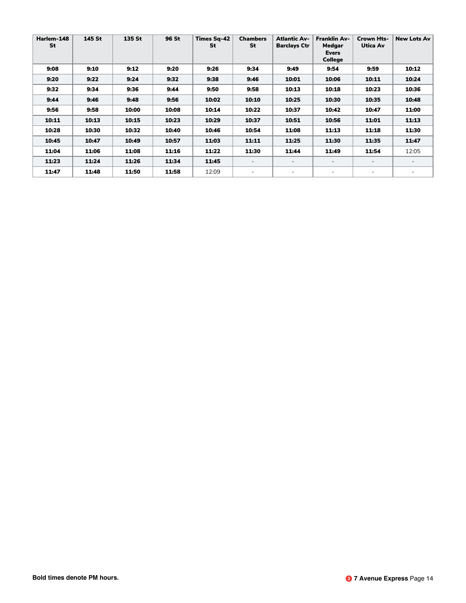| Harlem-148<br><b>St</b> | 145 St | 135 St | 96 St | <b>Times Sq-42</b><br>St | <b>Chambers</b><br>St | <b>Atlantic Av-</b><br><b>Barclays Ctr</b> | <b>Franklin Av-</b><br>Medgar<br><b>Evers</b><br><b>College</b> | Crown Hts-<br>Utica Av   | <b>New Lots Av</b>       |
|-------------------------|--------|--------|-------|--------------------------|-----------------------|--------------------------------------------|-----------------------------------------------------------------|--------------------------|--------------------------|
| 9:08                    | 9:10   | 9:12   | 9:20  | 9:26                     | 9:34                  | 9:49                                       | 9:54                                                            | 9:59                     | 10:12                    |
| 9:20                    | 9:22   | 9:24   | 9:32  | 9:38                     | 9:46                  | 10:01                                      | 10:06                                                           | 10:11                    | 10:24                    |
| 9:32                    | 9:34   | 9:36   | 9:44  | 9:50                     | 9:58                  | 10:13                                      | 10:18                                                           | 10:23                    | 10:36                    |
| 9:44                    | 9:46   | 9:48   | 9:56  | 10:02                    | 10:10                 | 10:25                                      | 10:30                                                           | 10:35                    | 10:48                    |
| 9:56                    | 9:58   | 10:00  | 10:08 | 10:14                    | 10:22                 | 10:37                                      | 10:42                                                           | 10:47                    | 11:00                    |
| 10:11                   | 10:13  | 10:15  | 10:23 | 10:29                    | 10:37                 | 10:51                                      | 10:56                                                           | 11:01                    | 11:13                    |
| 10:28                   | 10:30  | 10:32  | 10:40 | 10:46                    | 10:54                 | 11:08                                      | 11:13                                                           | 11:18                    | 11:30                    |
| 10:45                   | 10:47  | 10:49  | 10:57 | 11:03                    | 11:11                 | 11:25                                      | 11:30                                                           | 11:35                    | 11:47                    |
| 11:04                   | 11:06  | 11:08  | 11:16 | 11:22                    | 11:30                 | 11:44                                      | 11:49                                                           | 11:54                    | 12:05                    |
| 11:23                   | 11:24  | 11:26  | 11:34 | 11:45                    |                       | $\overline{\phantom{a}}$                   | $\overline{\phantom{0}}$                                        |                          | $\overline{\phantom{0}}$ |
| 11:47                   | 11:48  | 11:50  | 11:58 | 12:09                    |                       | ۰                                          | $\overline{\phantom{a}}$                                        | $\overline{\phantom{0}}$ | $\overline{\phantom{0}}$ |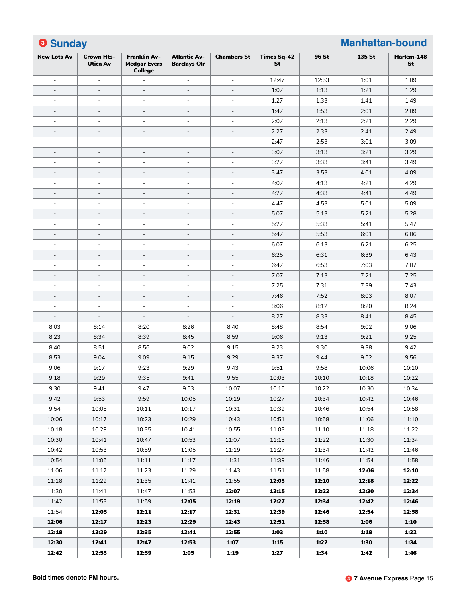| <b>8 Sunday</b>          |                               |                                                              |                                            |                          |                          |       | <b>Manhattan-bound</b> |                  |
|--------------------------|-------------------------------|--------------------------------------------------------------|--------------------------------------------|--------------------------|--------------------------|-------|------------------------|------------------|
| <b>New Lots Av</b>       | Crown Hts-<br><b>Utica Av</b> | <b>Franklin Av-</b><br><b>Medgar Evers</b><br><b>College</b> | <b>Atlantic Av-</b><br><b>Barclays Ctr</b> | <b>Chambers St</b>       | <b>Times Sq-42</b><br>St | 96 St | 135 St                 | Harlem-148<br>St |
| ÷,                       | ÷,                            |                                                              | $\bar{a}$                                  | ÷,                       | 12:47                    | 12:53 | 1:01                   | 1:09             |
| $\overline{a}$           | $\blacksquare$                | $\overline{\phantom{a}}$                                     | $\overline{\phantom{a}}$                   | $\overline{\phantom{a}}$ | 1:07                     | 1:13  | 1:21                   | 1:29             |
| $\blacksquare$           | $\overline{\phantom{a}}$      | $\blacksquare$                                               | $\blacksquare$                             | $\blacksquare$           | 1:27                     | 1:33  | 1:41                   | 1:49             |
| $\overline{\phantom{a}}$ | $\overline{\phantom{a}}$      | $\blacksquare$                                               | $\blacksquare$                             | $\blacksquare$           | 1:47                     | 1:53  | 2:01                   | 2:09             |
| $\equiv$                 | $\blacksquare$                | ÷                                                            | ÷                                          | ÷                        | 2:07                     | 2:13  | 2:21                   | 2:29             |
| $\overline{a}$           | $\blacksquare$                | $\overline{\phantom{a}}$                                     | $\overline{\phantom{a}}$                   | $\overline{\phantom{a}}$ | 2:27                     | 2:33  | 2:41                   | 2:49             |
| $\equiv$                 | $\overline{\phantom{a}}$      | $\equiv$                                                     | $\blacksquare$                             | $\blacksquare$           | 2:47                     | 2:53  | 3:01                   | 3:09             |
| $\overline{\phantom{a}}$ | $\overline{\phantom{a}}$      | $\blacksquare$                                               | $\blacksquare$                             | $\blacksquare$           | 3:07                     | 3:13  | 3:21                   | 3:29             |
| $\equiv$                 | $\overline{\phantom{a}}$      | ÷                                                            | ÷                                          | ÷                        | 3:27                     | 3:33  | 3:41                   | 3:49             |
| $\overline{\phantom{a}}$ | $\blacksquare$                | $\overline{\phantom{a}}$                                     | $\blacksquare$                             | $\overline{\phantom{a}}$ | 3:47                     | 3:53  | 4:01                   | 4:09             |
| $\blacksquare$           | $\overline{\phantom{a}}$      | $\blacksquare$                                               | $\blacksquare$                             | $\blacksquare$           | 4:07                     | 4:13  | 4:21                   | 4:29             |
| $\overline{\phantom{a}}$ | $\overline{\phantom{a}}$      | $\equiv$                                                     | $\equiv$                                   | $\equiv$                 | 4:27                     | 4:33  | 4:41                   | 4:49             |
| $\equiv$                 | $\blacksquare$                | ÷                                                            | $\blacksquare$                             | ÷                        | 4:47                     | 4:53  | 5:01                   | 5:09             |
| $\overline{a}$           | $\equiv$                      | $\overline{a}$                                               | $\overline{\phantom{a}}$                   | $\overline{\phantom{a}}$ | 5:07                     | 5:13  | 5:21                   | 5:28             |
| $\equiv$                 | $\overline{\phantom{a}}$      | $\equiv$                                                     | $\blacksquare$                             | $\blacksquare$           | 5:27                     | 5:33  | 5:41                   | 5:47             |
| $\overline{a}$           | $\blacksquare$                | $\blacksquare$                                               | $\blacksquare$                             | $\blacksquare$           | 5:47                     | 5:53  | 6:01                   | 6:06             |
| $\blacksquare$           | $\overline{\phantom{a}}$      | $\equiv$                                                     | $\blacksquare$                             | ÷                        | 6:07                     | 6:13  | 6:21                   | 6:25             |
| $\overline{\phantom{a}}$ | $\blacksquare$                | $\overline{\phantom{a}}$                                     | $\overline{\phantom{a}}$                   | $\overline{\phantom{a}}$ | 6:25                     | 6:31  | 6:39                   | 6:43             |
| $\blacksquare$           | $\overline{\phantom{a}}$      | $\equiv$                                                     | $\blacksquare$                             | $\blacksquare$           | 6:47                     | 6:53  | 7:03                   | 7:07             |
| $\overline{\phantom{a}}$ | $\equiv$                      | $\equiv$                                                     | $\equiv$                                   | $\equiv$                 | 7:07                     | 7:13  | 7:21                   | 7:25             |
| $\blacksquare$           | $\overline{\phantom{a}}$      | $\equiv$                                                     | $\blacksquare$                             | ÷                        | 7:25                     | 7:31  | 7:39                   | 7:43             |
| $\overline{a}$           | $\equiv$                      | $\overline{\phantom{a}}$                                     | $\overline{\phantom{a}}$                   | $\overline{\phantom{a}}$ | 7:46                     | 7:52  | 8:03                   | 8:07             |
| $\blacksquare$           | $\overline{\phantom{a}}$      | $\equiv$                                                     | $\blacksquare$                             | $\equiv$                 | 8:06                     | 8:12  | 8:20                   | 8:24             |
| $\overline{a}$           | $\overline{\phantom{a}}$      | $\sim$                                                       | $\bar{a}$                                  | $\overline{\phantom{a}}$ | 8:27                     | 8:33  | 8:41                   | 8:45             |
| 8:03                     | 8:14                          | 8:20                                                         | 8:26                                       | 8:40                     | 8:48                     | 8:54  | 9:02                   | 9:06             |
| 8:23                     | 8:34                          | 8:39                                                         | 8:45                                       | 8:59                     | 9:06                     | 9:13  | 9:21                   | 9:25             |
| 8:40                     | 8:51                          | 8:56                                                         | 9:02                                       | 9:15                     | 9:23                     | 9:30  | 9:38                   | 9:42             |
| 8:53                     | 9:04                          | 9:09                                                         | 9:15                                       | 9:29                     | 9:37                     | 9:44  | 9:52                   | 9:56             |
| 9:06                     | 9:17                          | 9:23                                                         | 9:29                                       | 9:43                     | 9:51                     | 9:58  | 10:06                  | 10:10            |
| 9:18                     | 9:29                          | 9:35                                                         | 9:41                                       | 9:55                     | 10:03                    | 10:10 | 10:18                  | 10:22            |
| 9:30                     | 9:41                          | 9:47                                                         | 9:53                                       | 10:07                    | 10:15                    | 10:22 | 10:30                  | 10:34            |
| 9:42                     | 9:53                          | 9:59                                                         | 10:05                                      | 10:19                    | 10:27                    | 10:34 | 10:42                  | 10:46            |
| 9:54                     | 10:05                         | 10:11                                                        | 10:17                                      | 10:31                    | 10:39                    | 10:46 | 10:54                  | 10:58            |
| 10:06                    | 10:17                         | 10:23                                                        | 10:29                                      | 10:43                    | 10:51                    | 10:58 | 11:06                  | 11:10            |
| 10:18                    | 10:29                         | 10:35                                                        | 10:41                                      | 10:55                    | 11:03                    | 11:10 | 11:18                  | 11:22            |
| 10:30                    | 10:41                         | 10:47                                                        | 10:53                                      | 11:07                    | 11:15                    | 11:22 | 11:30                  | 11:34            |
| 10:42                    | 10:53                         | 10:59                                                        | 11:05                                      | 11:19                    | 11:27                    | 11:34 | 11:42                  | 11:46            |
| 10:54                    | 11:05                         | 11:11                                                        | 11:17                                      | 11:31                    | 11:39                    | 11:46 | 11:54                  | 11:58            |
| 11:06                    | 11:17                         | 11:23                                                        | 11:29                                      | 11:43                    | 11:51                    | 11:58 | 12:06                  | 12:10            |
| 11:18                    | 11:29                         | 11:35                                                        | 11:41                                      | 11:55                    | 12:03                    | 12:10 | 12:18                  | 12:22            |
| 11:30                    | 11:41                         | 11:47                                                        | 11:53                                      | 12:07                    | 12:15                    | 12:22 | 12:30                  | 12:34            |
| 11:42                    | 11:53                         | 11:59                                                        | 12:05                                      | 12:19                    | 12:27                    | 12:34 | 12:42                  | 12:46            |
| 11:54                    | 12:05                         | 12:11                                                        | 12:17                                      | 12:31                    | 12:39                    | 12:46 | 12:54                  | 12:58            |
| 12:06                    | 12:17                         | 12:23                                                        | 12:29                                      | 12:43                    | 12:51                    | 12:58 | 1:06                   | 1:10             |
| 12:18                    | 12:29                         | 12:35                                                        | 12:41                                      | 12:55                    | 1:03                     | 1:10  | 1:18                   | 1:22             |
| 12:30                    | 12:41                         | 12:47                                                        | 12:53                                      | 1:07                     | 1:15                     | 1:22  | 1:30                   | 1:34             |
| 12:42                    | 12:53                         | 12:59                                                        | 1:05                                       | 1:19                     | 1:27                     | 1:34  | 1:42                   | 1:46             |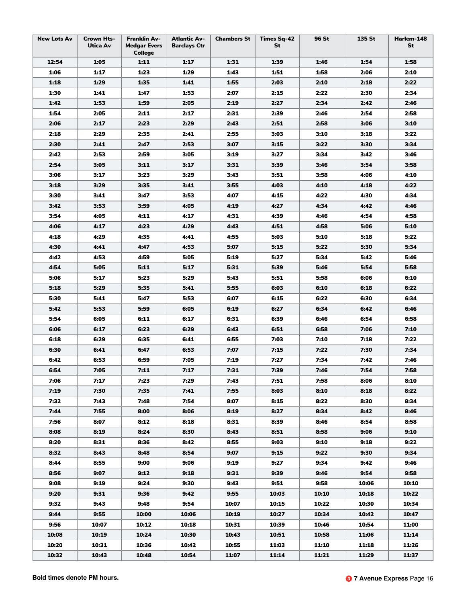| <b>New Lots Av</b> | <b>Crown Hts-</b><br>Utica Av | <b>Franklin Av-</b><br><b>Medgar Evers</b><br><b>College</b> | <b>Atlantic Av-</b><br><b>Barclays Ctr</b> | <b>Chambers St</b> | <b>Times Sq-42</b><br>St | <b>96 St</b> | 135 St | Harlem-148<br>St |
|--------------------|-------------------------------|--------------------------------------------------------------|--------------------------------------------|--------------------|--------------------------|--------------|--------|------------------|
| 12:54              | 1:05                          | 1:11                                                         | 1:17                                       | 1:31               | 1:39                     | 1:46         | 1:54   | 1:58             |
| 1:06               | 1:17                          | 1:23                                                         | 1:29                                       | 1:43               | 1:51                     | 1:58         | 2:06   | 2:10             |
| 1:18               | 1:29                          | 1:35                                                         | 1:41                                       | 1:55               | 2:03                     | 2:10         | 2:18   | 2:22             |
| 1:30               | 1:41                          | 1:47                                                         | 1:53                                       | 2:07               | 2:15                     | 2:22         | 2:30   | 2:34             |
| 1:42               | 1:53                          | 1:59                                                         | 2:05                                       | 2:19               | 2:27                     | 2:34         | 2:42   | 2:46             |
| 1:54               | 2:05                          | 2:11                                                         | 2:17                                       | 2:31               | 2:39                     | 2:46         | 2:54   | 2:58             |
| 2:06               | 2:17                          | 2:23                                                         | 2:29                                       | 2:43               | 2:51                     | 2:58         | 3:06   | 3:10             |
| 2:18               | 2:29                          | 2:35                                                         | 2:41                                       | 2:55               | 3:03                     | 3:10         | 3:18   | 3:22             |
| 2:30               | 2:41                          | 2:47                                                         | 2:53                                       | 3:07               | 3:15                     | 3:22         | 3:30   | 3:34             |
| 2:42               | 2:53                          | 2:59                                                         | 3:05                                       | 3:19               | 3:27                     | 3:34         | 3:42   | 3:46             |
| 2:54               | 3:05                          | 3:11                                                         | 3:17                                       | 3:31               | 3:39                     | 3:46         | 3:54   | 3:58             |
| 3:06               | 3:17                          | 3:23                                                         | 3:29                                       | 3:43               | 3:51                     | 3:58         | 4:06   | 4:10             |
| 3:18               | 3:29                          | 3:35                                                         | 3:41                                       | 3:55               | 4:03                     | 4:10         | 4:18   | 4:22             |
| 3:30               | 3:41                          | 3:47                                                         | 3:53                                       | 4:07               | 4:15                     | 4:22         | 4:30   | 4:34             |
| 3:42               | 3:53                          | 3:59                                                         | 4:05                                       | 4:19               | 4:27                     | 4:34         | 4:42   | 4:46             |
| 3:54               | 4:05                          | 4:11                                                         | 4:17                                       | 4:31               | 4:39                     | 4:46         | 4:54   | 4:58             |
| 4:06               | 4:17                          | 4:23                                                         | 4:29                                       | 4:43               | 4:51                     | 4:58         | 5:06   | 5:10             |
| 4:18               | 4:29                          | 4:35                                                         | 4:41                                       | 4:55               | 5:03                     | 5:10         | 5:18   | 5:22             |
| 4:30               | 4:41                          | 4:47                                                         | 4:53                                       | 5:07               | 5:15                     | 5:22         | 5:30   | 5:34             |
| 4:42               | 4:53                          | 4:59                                                         | 5:05                                       | 5:19               | 5:27                     | 5:34         | 5:42   | 5:46             |
| 4:54               | 5:05                          | 5:11                                                         | 5:17                                       | 5:31               | 5:39                     | 5:46         | 5:54   | 5:58             |
| 5:06               | 5:17                          | 5:23                                                         | 5:29                                       | 5:43               | 5:51                     | 5:58         | 6:06   | 6:10             |
| 5:18               | 5:29                          | 5:35                                                         | 5:41                                       | 5:55               | 6:03                     | 6:10         | 6:18   | 6:22             |
| 5:30               | 5:41                          | 5:47                                                         | 5:53                                       | 6:07               | 6:15                     | 6:22         | 6:30   | 6:34             |
| 5:42               | 5:53                          | 5:59                                                         | 6:05                                       | 6:19               | 6:27                     | 6:34         | 6:42   | 6:46             |
| 5:54               | 6:05                          | 6:11                                                         | 6:17                                       | 6:31               | 6:39                     | 6:46         | 6:54   | 6:58             |
| 6:06               | 6:17                          | 6:23                                                         | 6:29                                       | 6:43               | 6:51                     | 6:58         | 7:06   | 7:10             |
| 6:18               | 6:29                          | 6:35                                                         | 6:41                                       | 6:55               | 7:03                     | 7:10         | 7:18   | 7:22             |
| 6:30               | 6:41                          | 6:47                                                         | 6:53                                       | 7:07               | 7:15                     | 7:22         | 7:30   | 7:34             |
| 6:42               | 6:53                          | 6:59                                                         | 7:05                                       | 7:19               | 7:27                     | 7:34         | 7:42   | 7:46             |
| 6:54               | 7:05                          | 7:11                                                         | 7:17                                       | 7:31               | 7:39                     | 7:46         | 7:54   | 7:58             |
| 7:06               | 7:17                          | 7:23                                                         | 7:29                                       | 7:43               | 7:51                     | 7:58         | 8:06   | 8:10             |
| 7:19               | 7:30                          | 7:35                                                         | 7:41                                       | 7:55               | 8:03                     | 8:10         | 8:18   | 8:22             |
| 7:32               |                               | 7:48                                                         | 7:54                                       | 8:07               | 8:15                     | 8:22         | 8:30   | 8:34             |
| 7:44               | 7:43                          | 8:00                                                         | 8:06                                       | 8:19               |                          |              |        |                  |
|                    | 7:55                          |                                                              |                                            |                    | 8:27                     | 8:34         | 8:42   | 8:46<br>8:58     |
| 7:56               | 8:07                          | 8:12                                                         | 8:18                                       | 8:31               | 8:39                     | 8:46         | 8:54   |                  |
| 8:08               | 8:19                          | 8:24                                                         | 8:30                                       | 8:43               | 8:51                     | 8:58         | 9:06   | 9:10             |
| 8:20               | 8:31                          | 8:36                                                         | 8:42                                       | 8:55               | 9:03                     | 9:10         | 9:18   | 9:22             |
| 8:32               | 8:43                          | 8:48                                                         | 8:54                                       | 9:07               | 9:15                     | 9:22         | 9:30   | 9:34             |
| 8:44               | 8:55                          | 9:00                                                         | 9:06                                       | 9:19               | 9:27                     | 9:34         | 9:42   | 9:46             |
| 8:56               | 9:07                          | 9:12                                                         | 9:18                                       | 9:31               | 9:39                     | 9:46         | 9:54   | 9:58             |
| 9:08               | 9:19                          | 9:24                                                         | 9:30                                       | 9:43               | 9:51                     | 9:58         | 10:06  | 10:10            |
| 9:20               | 9:31                          | 9:36                                                         | 9:42                                       | 9:55               | 10:03                    | 10:10        | 10:18  | 10:22            |
| 9:32               | 9:43                          | 9:48                                                         | 9:54                                       | 10:07              | 10:15                    | 10:22        | 10:30  | 10:34            |
| 9:44               | 9:55                          | 10:00                                                        | 10:06                                      | 10:19              | 10:27                    | 10:34        | 10:42  | 10:47            |
| 9:56               | 10:07                         | 10:12                                                        | 10:18                                      | 10:31              | 10:39                    | 10:46        | 10:54  | 11:00            |
| 10:08              | 10:19                         | 10:24                                                        | 10:30                                      | 10:43              | 10:51                    | 10:58        | 11:06  | 11:14            |
| 10:20              | 10:31                         | 10:36                                                        | 10:42                                      | 10:55              | 11:03                    | 11:10        | 11:18  | 11:26            |
| 10:32              | 10:43                         | 10:48                                                        | 10:54                                      | 11:07              | 11:14                    | 11:21        | 11:29  | 11:37            |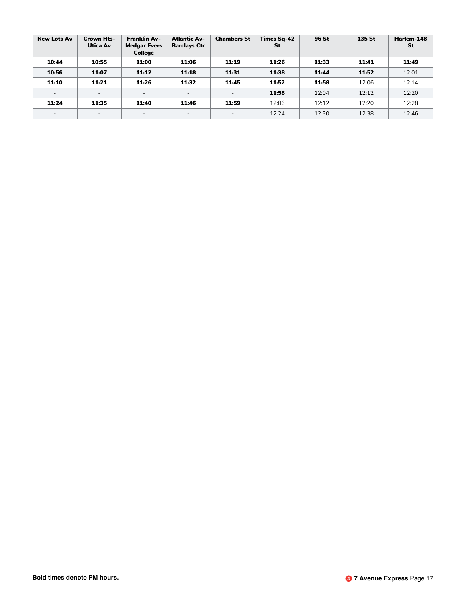| <b>New Lots Av</b>       | <b>Crown Hts-</b><br>Utica Av | <b>Franklin Av-</b><br><b>Medgar Evers</b><br><b>College</b> | <b>Atlantic Av-</b><br><b>Barclays Ctr</b> | <b>Chambers St</b>       | <b>Times Sq-42</b><br>St | 96 St | 135 St | Harlem-148<br>St |
|--------------------------|-------------------------------|--------------------------------------------------------------|--------------------------------------------|--------------------------|--------------------------|-------|--------|------------------|
| 10:44                    | 10:55                         | 11:00                                                        | 11:06                                      | 11:19                    | 11:26                    | 11:33 | 11:41  | 11:49            |
| 10:56                    | 11:07                         | 11:12                                                        | 11:18                                      | 11:31                    | 11:38                    | 11:44 | 11:52  | 12:01            |
| 11:10                    | 11:21                         | 11:26                                                        | 11:32                                      | 11:45                    | 11:52                    | 11:58 | 12:06  | 12:14            |
| $\overline{\phantom{a}}$ | $\overline{\phantom{a}}$      | $\overline{\phantom{0}}$                                     | $\overline{\phantom{a}}$                   | $\overline{\phantom{a}}$ | 11:58                    | 12:04 | 12:12  | 12:20            |
| 11:24                    | 11:35                         | 11:40                                                        | 11:46                                      | 11:59                    | 12:06                    | 12:12 | 12:20  | 12:28            |
| $\overline{\phantom{a}}$ | $\overline{\phantom{a}}$      | $\overline{\phantom{0}}$                                     | $\overline{\phantom{a}}$                   | $\overline{\phantom{a}}$ | 12:24                    | 12:30 | 12:38  | 12:46            |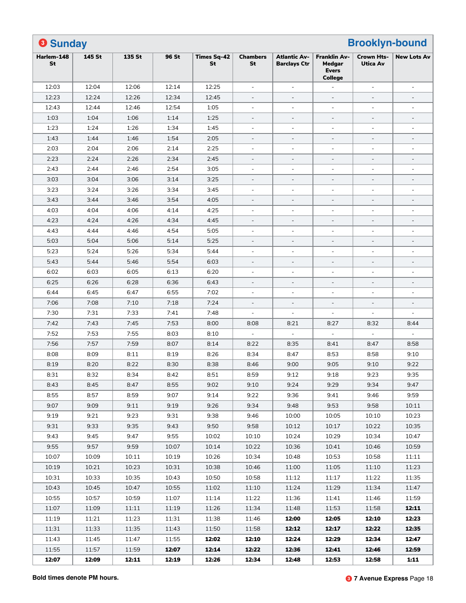| <b>8 Sunday</b>  |        |        |       |                          |                          | <b>Brooklyn-bound</b>                      |                                                                 |                                      |                          |  |  |
|------------------|--------|--------|-------|--------------------------|--------------------------|--------------------------------------------|-----------------------------------------------------------------|--------------------------------------|--------------------------|--|--|
| Harlem-148<br>St | 145 St | 135 St | 96 St | <b>Times Sq-42</b><br>St | <b>Chambers</b><br>St    | <b>Atlantic Av-</b><br><b>Barclays Ctr</b> | <b>Franklin Av-</b><br>Medgar<br><b>Evers</b><br><b>College</b> | <b>Crown Hts-</b><br><b>Utica Av</b> | <b>New Lots Av</b>       |  |  |
| 12:03            | 12:04  | 12:06  | 12:14 | 12:25                    | $\blacksquare$           | $\overline{\phantom{a}}$                   |                                                                 | $\blacksquare$                       | ÷,                       |  |  |
| 12:23            | 12:24  | 12:26  | 12:34 | 12:45                    | $\blacksquare$           | $\overline{\phantom{a}}$                   | $\overline{\phantom{a}}$                                        | $\overline{\phantom{a}}$             | $\qquad \qquad -$        |  |  |
| 12:43            | 12:44  | 12:46  | 12:54 | 1:05                     | ÷,                       | $\blacksquare$                             | $\blacksquare$                                                  |                                      | ÷,                       |  |  |
| 1:03             | 1:04   | 1:06   | 1:14  | 1:25                     | $\overline{\phantom{a}}$ | $\blacksquare$                             | $\blacksquare$                                                  | $\equiv$                             | $\overline{\phantom{0}}$ |  |  |
| 1:23             | 1:24   | 1:26   | 1:34  | 1:45                     | $\blacksquare$           | $\blacksquare$                             | $\blacksquare$                                                  | $\blacksquare$                       | $\sim$                   |  |  |
| 1:43             | 1:44   | 1:46   | 1:54  | 2:05                     | $\overline{\phantom{a}}$ | $\overline{\phantom{a}}$                   | $\overline{\phantom{a}}$                                        | $\overline{\phantom{a}}$             | $\qquad \qquad -$        |  |  |
| 2:03             | 2:04   | 2:06   | 2:14  | 2:25                     | $\blacksquare$           | $\blacksquare$                             | $\blacksquare$                                                  | $\blacksquare$                       | ÷,                       |  |  |
| 2:23             | 2:24   | 2:26   | 2:34  | 2:45                     |                          | $\overline{a}$                             | $\overline{a}$                                                  | $\equiv$                             | $\overline{\phantom{0}}$ |  |  |
| 2:43             | 2:44   | 2:46   | 2:54  | 3:05                     | ÷,                       | $\blacksquare$                             | $\blacksquare$                                                  | $\blacksquare$                       | L,                       |  |  |
| 3:03             | 3:04   | 3:06   | 3:14  | 3:25                     | $\blacksquare$           | $\overline{\phantom{a}}$                   | $\overline{\phantom{a}}$                                        | $\blacksquare$                       | $\overline{\phantom{a}}$ |  |  |
| 3:23             | 3:24   | 3:26   | 3:34  | 3:45                     | ÷,                       | $\blacksquare$                             | $\blacksquare$                                                  |                                      |                          |  |  |
| 3:43             | 3:44   | 3:46   | 3:54  | 4:05                     | $\overline{a}$           | $\overline{\phantom{a}}$                   | $\overline{\phantom{a}}$                                        | $\overline{\phantom{a}}$             | $\overline{\phantom{a}}$ |  |  |
| 4:03             | 4:04   | 4:06   | 4:14  | 4:25                     | ÷,                       | $\overline{\phantom{a}}$                   | $\blacksquare$                                                  | $\blacksquare$                       | ÷,                       |  |  |
| 4:23             | 4:24   | 4:26   | 4:34  | 4:45                     | $\blacksquare$           | $\overline{\phantom{a}}$                   | $\overline{\phantom{a}}$                                        | $\overline{\phantom{a}}$             | $\qquad \qquad -$        |  |  |
| 4:43             | 4:44   | 4:46   | 4:54  | 5:05                     | $\blacksquare$           | $\blacksquare$                             | $\blacksquare$                                                  | ÷                                    | ÷,                       |  |  |
| 5:03             | 5:04   | 5:06   | 5:14  | 5:25                     |                          | $\blacksquare$                             | $\overline{\phantom{a}}$                                        | $\equiv$                             | $\overline{\phantom{0}}$ |  |  |
| 5:23             | 5:24   | 5:26   | 5:34  | 5:44                     | ÷,                       | $\blacksquare$                             | $\blacksquare$                                                  | $\bar{a}$                            | ÷,                       |  |  |
| 5:43             | 5:44   | 5:46   | 5:54  | 6:03                     | $\overline{\phantom{a}}$ | $\overline{\phantom{a}}$                   | $\overline{\phantom{a}}$                                        | $\overline{\phantom{a}}$             | $\qquad \qquad -$        |  |  |
| 6:02             | 6:03   | 6:05   | 6:13  | 6:20                     | ÷,                       | $\blacksquare$                             | $\blacksquare$                                                  | $\overline{a}$                       | ÷,                       |  |  |
| 6:25             | 6:26   | 6:28   | 6:36  | 6:43                     | $\overline{a}$           | $\overline{\phantom{a}}$                   | $\blacksquare$                                                  | $\equiv$                             | $\qquad \qquad -$        |  |  |
| 6:44             | 6:45   | 6:47   | 6:55  | 7:02                     | ÷,                       | $\overline{\phantom{a}}$                   | $\blacksquare$                                                  | $\blacksquare$                       | ÷,                       |  |  |
| 7:06             | 7:08   | 7:10   | 7:18  | 7:24                     | $\blacksquare$           | $\overline{a}$                             | $\overline{\phantom{a}}$                                        | $\overline{\phantom{a}}$             | $\overline{a}$           |  |  |
| 7:30             | 7:31   | 7:33   | 7:41  | 7:48                     | ÷,                       | $\overline{a}$                             |                                                                 |                                      |                          |  |  |
| 7:42             | 7:43   | 7:45   | 7:53  | 8:00                     | 8:08                     | 8:21                                       | 8:27                                                            | 8:32                                 | 8:44                     |  |  |
| 7:52             | 7:53   | 7:55   | 8:03  | 8:10                     | ÷,                       | $\overline{\phantom{a}}$                   |                                                                 |                                      |                          |  |  |
| 7:56             | 7:57   | 7:59   | 8:07  | 8:14                     | 8:22                     | 8:35                                       | 8:41                                                            | 8:47                                 | 8:58                     |  |  |
| 8:08             | 8:09   | 8:11   | 8:19  | 8:26                     | 8:34                     | 8:47                                       | 8:53                                                            | 8:58                                 | 9:10                     |  |  |
| 8:19             | 8:20   | 8:22   | 8:30  | 8:38                     | 8:46                     | 9:00                                       | 9:05                                                            | 9:10                                 | 9:22                     |  |  |
| 8:31             | 8:32   | 8:34   | 8:42  | 8:51                     | 8:59                     | 9:12                                       | 9:18                                                            | 9:23                                 | 9:35                     |  |  |
| 8:43             | 8:45   | 8:47   | 8:55  | 9:02                     | 9:10                     | 9:24                                       | 9:29                                                            | 9:34                                 | 9:47                     |  |  |
| 8:55             | 8:57   | 8:59   | 9:07  | 9:14                     | 9:22                     | 9:36                                       | 9:41                                                            | 9:46                                 | 9:59                     |  |  |
| 9:07             | 9:09   | 9:11   | 9:19  | 9:26                     | 9:34                     | 9:48                                       | 9:53                                                            | 9:58                                 | 10:11                    |  |  |
| 9:19             | 9:21   | 9:23   | 9:31  | 9:38                     | 9:46                     | 10:00                                      | 10:05                                                           | 10:10                                | 10:23                    |  |  |
| 9:31             | 9:33   | 9:35   | 9:43  | 9:50                     | 9:58                     | 10:12                                      | 10:17                                                           | 10:22                                | 10:35                    |  |  |
| 9:43             | 9:45   | 9:47   | 9:55  | 10:02                    | 10:10                    | 10:24                                      | 10:29                                                           | 10:34                                | 10:47                    |  |  |
| 9:55             | 9:57   | 9:59   | 10:07 | 10:14                    | 10:22                    | 10:36                                      | 10:41                                                           | 10:46                                | 10:59                    |  |  |
| 10:07            | 10:09  | 10:11  | 10:19 | 10:26                    | 10:34                    | 10:48                                      | 10:53                                                           | 10:58                                | 11:11                    |  |  |
| 10:19            | 10:21  | 10:23  | 10:31 | 10:38                    | 10:46                    | 11:00                                      | 11:05                                                           | 11:10                                | 11:23                    |  |  |
| 10:31            | 10:33  | 10:35  | 10:43 | 10:50                    | 10:58                    | 11:12                                      | 11:17                                                           | 11:22                                | 11:35                    |  |  |
| 10:43            | 10:45  | 10:47  | 10:55 | 11:02                    | 11:10                    | 11:24                                      | 11:29                                                           | 11:34                                | 11:47                    |  |  |
| 10:55            | 10:57  | 10:59  | 11:07 | 11:14                    | 11:22                    | 11:36                                      | 11:41                                                           | 11:46                                | 11:59                    |  |  |
| 11:07            | 11:09  | 11:11  | 11:19 | 11:26                    | 11:34                    | 11:48                                      | 11:53                                                           | 11:58                                | 12:11                    |  |  |
| 11:19            | 11:21  | 11:23  | 11:31 | 11:38                    | 11:46                    | 12:00                                      | 12:05                                                           | 12:10                                | 12:23                    |  |  |
| 11:31            | 11:33  | 11:35  | 11:43 | 11:50                    | 11:58                    | 12:12                                      | 12:17                                                           | 12:22                                | 12:35                    |  |  |
| 11:43            | 11:45  | 11:47  | 11:55 | 12:02                    | 12:10                    | 12:24                                      | 12:29                                                           | 12:34                                | 12:47                    |  |  |
| 11:55            | 11:57  | 11:59  | 12:07 | 12:14                    | 12:22                    | 12:36                                      | 12:41                                                           | 12:46                                | 12:59                    |  |  |
| 12:07            | 12:09  | 12:11  | 12:19 | 12:26                    | 12:34                    | 12:48                                      | 12:53                                                           | 12:58                                | 1:11                     |  |  |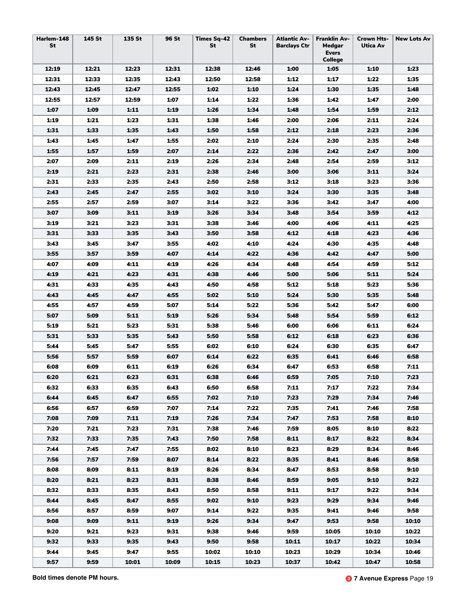| Harlem-148<br>St | 145 St | 135 St | 96 St | <b>Times Sq-42</b><br>St | <b>Chambers</b><br>St | <b>Atlantic Av-</b><br><b>Barclays Ctr</b> | <b>Franklin Av-</b><br>Medgar<br><b>Evers</b><br><b>College</b> | <b>Crown Hts-</b><br>Utica Av | <b>New Lots Av</b> |
|------------------|--------|--------|-------|--------------------------|-----------------------|--------------------------------------------|-----------------------------------------------------------------|-------------------------------|--------------------|
| 12:19            | 12:21  | 12:23  | 12:31 | 12:38                    | 12:46                 | 1:00                                       | 1:05                                                            | 1:10                          | 1:23               |
| 12:31            | 12:33  | 12:35  | 12:43 | 12:50                    | 12:58                 | 1:12                                       | 1:17                                                            | 1:22                          | 1:35               |
| 12:43            | 12:45  | 12:47  | 12:55 | 1:02                     | 1:10                  | 1:24                                       | 1:30                                                            | 1:35                          | 1:48               |
| 12:55            | 12:57  | 12:59  | 1:07  | 1:14                     | 1:22                  | 1:36                                       | 1:42                                                            | 1:47                          | 2:00               |
| 1:07             | 1:09   | 1:11   | 1:19  | 1:26                     | 1:34                  | 1:48                                       | 1:54                                                            | 1:59                          | 2:12               |
| 1:19             | 1:21   | 1:23   | 1:31  | 1:38                     | 1:46                  | 2:00                                       | 2:06                                                            | 2:11                          | 2:24               |
| 1:31             | 1:33   | 1:35   | 1:43  | 1:50                     | 1:58                  | 2:12                                       | 2:18                                                            | 2:23                          | 2:36               |
| 1:43             | 1:45   | 1:47   | 1:55  | 2:02                     | 2:10                  | 2:24                                       | 2:30                                                            | 2:35                          | 2:48               |
| 1:55             | 1:57   | 1:59   | 2:07  | 2:14                     | 2:22                  | 2:36                                       | 2:42                                                            | 2:47                          | 3:00               |
| 2:07             | 2:09   | 2:11   | 2:19  | 2:26                     | 2:34                  | 2:48                                       | 2:54                                                            | 2:59                          | 3:12               |
| 2:19             | 2:21   | 2:23   | 2:31  | 2:38                     | 2:46                  | 3:00                                       | 3:06                                                            | 3:11                          | 3:24               |
| 2:31             | 2:33   | 2:35   | 2:43  | 2:50                     | 2:58                  | 3:12                                       | 3:18                                                            | 3:23                          | 3:36               |
| 2:43             | 2:45   | 2:47   | 2:55  | 3:02                     | 3:10                  | 3:24                                       | 3:30                                                            | 3:35                          | 3:48               |
| 2:55             | 2:57   | 2:59   | 3:07  | 3:14                     | 3:22                  | 3:36                                       | 3:42                                                            | 3:47                          | 4:00               |
| 3:07             | 3:09   | 3:11   | 3:19  | 3:26                     | 3:34                  | 3:48                                       | 3:54                                                            | 3:59                          | 4:12               |
| 3:19             | 3:21   | 3:23   | 3:31  | 3:38                     | 3:46                  | 4:00                                       | 4:06                                                            | 4:11                          | 4:25               |
| 3:31             | 3:33   | 3:35   | 3:43  | 3:50                     | 3:58                  | 4:12                                       | 4:18                                                            | 4:23                          | 4:36               |
| 3:43             | 3:45   | 3:47   | 3:55  | 4:02                     | 4:10                  | 4:24                                       | 4:30                                                            | 4:35                          | 4:48               |
| 3:55             | 3:57   | 3:59   | 4:07  | 4:14                     | 4:22                  | 4:36                                       | 4:42                                                            | 4:47                          | 5:00               |
| 4:07             | 4:09   | 4:11   | 4:19  | 4:26                     | 4:34                  | 4:48                                       | 4:54                                                            | 4:59                          | 5:12               |
| 4:19             | 4:21   | 4:23   | 4:31  | 4:38                     | 4:46                  | 5:00                                       | 5:06                                                            | 5:11                          | 5:24               |
| 4:31             | 4:33   | 4:35   | 4:43  | 4:50                     | 4:58                  | 5:12                                       | 5:18                                                            | 5:23                          | 5:36               |
| 4:43             | 4:45   | 4:47   | 4:55  | 5:02                     | 5:10                  | 5:24                                       | 5:30                                                            | 5:35                          | 5:48               |
| 4:55             | 4:57   | 4:59   | 5:07  | 5:14                     | 5:22                  | 5:36                                       | 5:42                                                            | 5:47                          | 6:00               |
| 5:07             | 5:09   | 5:11   | 5:19  | 5:26                     | 5:34                  | 5:48                                       | 5:54                                                            | 5:59                          | 6:12               |
| 5:19             | 5:21   | 5:23   | 5:31  | 5:38                     | 5:46                  | 6:00                                       | 6:06                                                            | 6:11                          | 6:24               |
| 5:31             | 5:33   | 5:35   | 5:43  | 5:50                     | 5:58                  | 6:12                                       | 6:18                                                            | 6:23                          | 6:36               |
| 5:44             | 5:45   | 5:47   | 5:55  | 6:02                     | 6:10                  | 6:24                                       | 6:30                                                            | 6:35                          | 6:47               |
| 5:56             | 5:57   | 5:59   | 6:07  | 6:14                     | 6:22                  | 6:35                                       | 6:41                                                            | 6:46                          | 6:58               |
| 6:08             | 6:09   | 6:11   | 6:19  | 6:26                     | 6:34                  | 6:47                                       | 6:53                                                            | 6:58                          | 7:11               |
| 6:20             | 6:21   | 6:23   | 6:31  | 6:38                     | 6:46                  | 6:59                                       | 7:05                                                            | 7:10                          | 7:23               |
| 6:32             | 6:33   | 6:35   | 6:43  | 6:50                     | 6:58                  | 7:11                                       | 7:17                                                            | 7:22                          | 7:34               |
| 6:44             | 6:45   | 6:47   | 6:55  | 7:02                     | 7:10                  | 7:23                                       | 7:29                                                            | 7:34                          | 7:46               |
| 6:56             | 6:57   | 6:59   | 7:07  | 7:14                     | 7:22                  | 7:35                                       | 7:41                                                            | 7:46                          | 7:58               |
| 7:08             | 7:09   | 7:11   | 7:19  | 7:26                     | 7:34                  | 7:47                                       | 7:53                                                            | 7:58                          | 8:10               |
| 7:20             | 7:21   | 7:23   | 7:31  | 7:38                     | 7:46                  | 7:59                                       | 8:05                                                            | 8:10                          | 8:22               |
| 7:32             | 7:33   | 7:35   | 7:43  | 7:50                     | 7:58                  | 8:11                                       | 8:17                                                            | 8:22                          | 8:34               |
| 7:44             | 7:45   | 7:47   | 7:55  | 8:02                     | 8:10                  | 8:23                                       | 8:29                                                            | 8:34                          | 8:46               |
| 7:56             | 7:57   | 7:59   | 8:07  | 8:14                     | 8:22                  | 8:35                                       | 8:41                                                            | 8:46                          | 8:58               |
| 8:08             | 8:09   | 8:11   | 8:19  | 8:26                     | 8:34                  | 8:47                                       | 8:53                                                            | 8:58                          | 9:10               |
| 8:20             | 8:21   | 8:23   | 8:31  | 8:38                     | 8:46                  | 8:59                                       | 9:05                                                            | 9:10                          | 9:22               |
| 8:32             | 8:33   | 8:35   | 8:43  | 8:50                     | 8:58                  | 9:11                                       | 9:17                                                            | 9:22                          | 9:34               |
| 8:44             | 8:45   | 8:47   | 8:55  | 9:02                     | 9:10                  | 9:23                                       | 9:29                                                            | 9:34                          | 9:46               |
| 8:56             | 8:57   | 8:59   | 9:07  | 9:14                     | 9:22                  | 9:35                                       | 9:41                                                            | 9:46                          | 9:58               |
| 9:08             | 9:09   | 9:11   | 9:19  | 9:26                     | 9:34                  | 9:47                                       | 9:53                                                            | 9:58                          | 10:10              |
| 9:20             | 9:21   | 9:23   | 9:31  | 9:38                     | 9:46                  | 9:59                                       | 10:05                                                           | 10:10                         | 10:22              |
| 9:32             | 9:33   | 9:35   | 9:43  | 9:50                     | 9:58                  | 10:11                                      | 10:17                                                           | 10:22                         | 10:34              |
| 9:44             | 9:45   | 9:47   | 9:55  | 10:02                    | 10:10                 | 10:23                                      | 10:29                                                           | 10:34                         | 10:46              |
| 9:57             | 9:59   | 10:01  | 10:09 | 10:15                    | 10:23                 | 10:37                                      | 10:42                                                           | 10:47                         | 10:58              |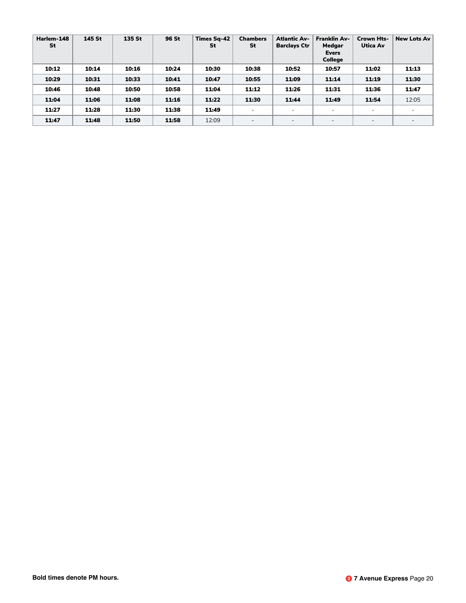| Harlem-148<br>St | 145 St | 135 St | 96 St | <b>Times Sq-42</b><br>St | <b>Chambers</b><br>St    | <b>Atlantic Av-</b><br><b>Barclays Ctr</b> | <b>Franklin Av-</b><br>Medgar<br><b>Evers</b><br><b>College</b> | <b>Crown Hts-</b><br>Utica Av | <b>New Lots Av</b> |
|------------------|--------|--------|-------|--------------------------|--------------------------|--------------------------------------------|-----------------------------------------------------------------|-------------------------------|--------------------|
| 10:12            | 10:14  | 10:16  | 10:24 | 10:30                    | 10:38                    | 10:52                                      | 10:57                                                           | 11:02                         | 11:13              |
| 10:29            | 10:31  | 10:33  | 10:41 | 10:47                    | 10:55                    | 11:09                                      | 11:14                                                           | 11:19                         | 11:30              |
| 10:46            | 10:48  | 10:50  | 10:58 | 11:04                    | 11:12                    | 11:26                                      | 11:31                                                           | 11:36                         | 11:47              |
| 11:04            | 11:06  | 11:08  | 11:16 | 11:22                    | 11:30                    | 11:44                                      | 11:49                                                           | 11:54                         | 12:05              |
| 11:27            | 11:28  | 11:30  | 11:38 | 11:49                    | $\overline{\phantom{0}}$ | $\overline{\phantom{a}}$                   | -                                                               | $\equiv$                      |                    |
| 11:47            | 11:48  | 11:50  | 11:58 | 12:09                    | $\overline{\phantom{0}}$ | $\overline{\phantom{0}}$                   | -                                                               | $\overline{\phantom{a}}$      |                    |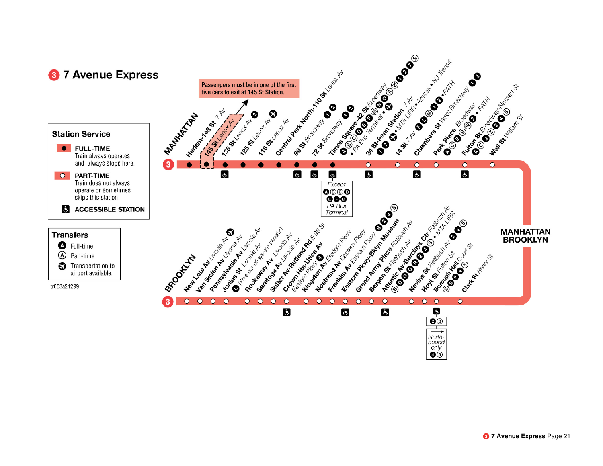